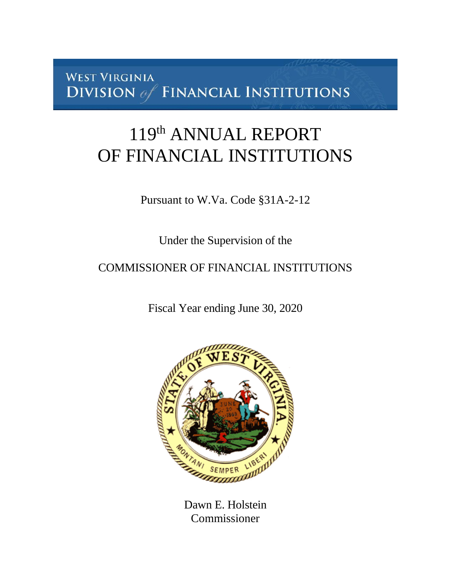**WEST VIRGINIA** DIVISION of FINANCIAL INSTITUTIONS

# 119<sup>th</sup> ANNUAL REPORT OF FINANCIAL INSTITUTIONS

Pursuant to W.Va. Code §31A-2-12

Under the Supervision of the

COMMISSIONER OF FINANCIAL INSTITUTIONS

Fiscal Year ending June 30, 2020



Dawn E. Holstein Commissioner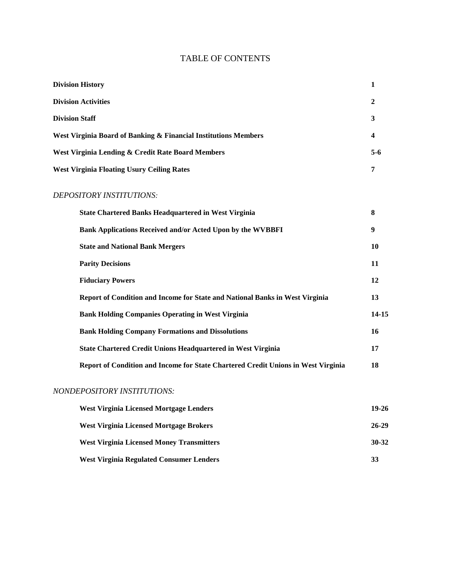# TABLE OF CONTENTS

| <b>Division History</b>                                         |       |
|-----------------------------------------------------------------|-------|
| <b>Division Activities</b>                                      | 2     |
| <b>Division Staff</b>                                           | 3     |
| West Virginia Board of Banking & Financial Institutions Members | 4     |
| West Virginia Lending & Credit Rate Board Members               | $5-6$ |
| <b>West Virginia Floating Usury Ceiling Rates</b>               | 7     |
| DEPOSITORY INSTITUTIONS:                                        |       |

## *DEPOSITORY INSTITUTIONS:*

| <b>State Chartered Banks Headquartered in West Virginia</b>                       | 8     |
|-----------------------------------------------------------------------------------|-------|
| <b>Bank Applications Received and/or Acted Upon by the WVBBFI</b>                 | 9     |
| <b>State and National Bank Mergers</b>                                            | 10    |
| <b>Parity Decisions</b>                                                           | 11    |
| <b>Fiduciary Powers</b>                                                           | 12    |
| Report of Condition and Income for State and National Banks in West Virginia      | 13    |
| <b>Bank Holding Companies Operating in West Virginia</b>                          | 14-15 |
| <b>Bank Holding Company Formations and Dissolutions</b>                           | 16    |
| <b>State Chartered Credit Unions Headquartered in West Virginia</b>               | 17    |
| Report of Condition and Income for State Chartered Credit Unions in West Virginia | 18    |
|                                                                                   |       |

#### *NONDEPOSITORY INSTITUTIONS:*

| <b>West Virginia Licensed Mortgage Lenders</b>   | 19-26 |
|--------------------------------------------------|-------|
| West Virginia Licensed Mortgage Brokers          | 26-29 |
| <b>West Virginia Licensed Money Transmitters</b> | 30-32 |
| <b>West Virginia Regulated Consumer Lenders</b>  | 33    |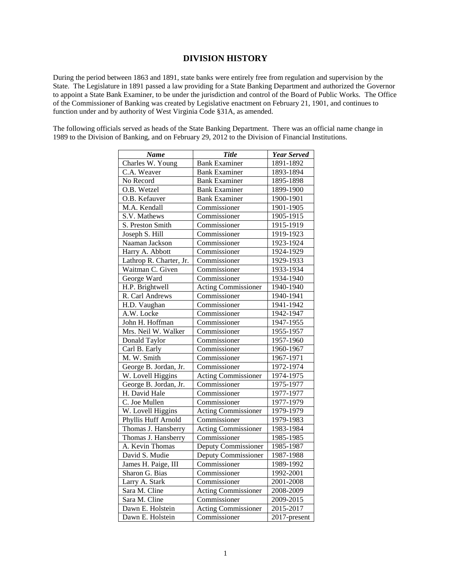#### **DIVISION HISTORY**

During the period between 1863 and 1891, state banks were entirely free from regulation and supervision by the State. The Legislature in 1891 passed a law providing for a State Banking Department and authorized the Governor to appoint a State Bank Examiner, to be under the jurisdiction and control of the Board of Public Works. The Office of the Commissioner of Banking was created by Legislative enactment on February 21, 1901, and continues to function under and by authority of West Virginia Code §31A, as amended.

The following officials served as heads of the State Banking Department. There was an official name change in 1989 to the Division of Banking, and on February 29, 2012 to the Division of Financial Institutions.

| <b>Name</b>             | <b>Title</b>               | <b>Year Served</b> |
|-------------------------|----------------------------|--------------------|
| Charles W. Young        | <b>Bank Examiner</b>       | 1891-1892          |
| C.A. Weaver             | <b>Bank Examiner</b>       | 1893-1894          |
| No Record               | <b>Bank Examiner</b>       | 1895-1898          |
| O.B. Wetzel             | <b>Bank Examiner</b>       | 1899-1900          |
| O.B. Kefauver           | <b>Bank Examiner</b>       | 1900-1901          |
| M.A. Kendall            | Commissioner               | 1901-1905          |
| S.V. Mathews            | Commissioner               | 1905-1915          |
| S. Preston Smith        | Commissioner               | 1915-1919          |
| Joseph S. Hill          | Commissioner               | 1919-1923          |
| Naaman Jackson          | Commissioner               | 1923-1924          |
| Harry A. Abbott         | Commissioner               | 1924-1929          |
| Lathrop R. Charter, Jr. | Commissioner               | 1929-1933          |
| Waitman C. Given        | Commissioner               | 1933-1934          |
| George Ward             | Commissioner               | 1934-1940          |
| H.P. Brightwell         | <b>Acting Commissioner</b> | 1940-1940          |
| R. Carl Andrews         | Commissioner               | 1940-1941          |
| H.D. Vaughan            | Commissioner               | 1941-1942          |
| A.W. Locke              | Commissioner               | 1942-1947          |
| John H. Hoffman         | Commissioner               | 1947-1955          |
| Mrs. Neil W. Walker     | Commissioner               | 1955-1957          |
| Donald Taylor           | Commissioner               | 1957-1960          |
| Carl B. Early           | Commissioner               | 1960-1967          |
| M. W. Smith             | Commissioner               | 1967-1971          |
| George B. Jordan, Jr.   | Commissioner               | 1972-1974          |
| W. Lovell Higgins       | <b>Acting Commissioner</b> | 1974-1975          |
| George B. Jordan, Jr.   | Commissioner               | 1975-1977          |
| H. David Hale           | Commissioner               | 1977-1977          |
| C. Joe Mullen           | Commissioner               | 1977-1979          |
| W. Lovell Higgins       | <b>Acting Commissioner</b> | 1979-1979          |
| Phyllis Huff Arnold     | Commissioner               | 1979-1983          |
| Thomas J. Hansberry     | Acting Commissioner        | 1983-1984          |
| Thomas J. Hansberry     | Commissioner               | 1985-1985          |
| A. Kevin Thomas         | Deputy Commissioner        | 1985-1987          |
| David S. Mudie          | Deputy Commissioner        | 1987-1988          |
| James H. Paige, III     | Commissioner               | 1989-1992          |
| Sharon G. Bias          | Commissioner               | 1992-2001          |
| Larry A. Stark          | Commissioner               | 2001-2008          |
| Sara M. Cline           | <b>Acting Commissioner</b> | 2008-2009          |
| Sara M. Cline           | Commissioner               | 2009-2015          |
| Dawn E. Holstein        | <b>Acting Commissioner</b> | 2015-2017          |
| Dawn E. Holstein        | Commissioner               | 2017-present       |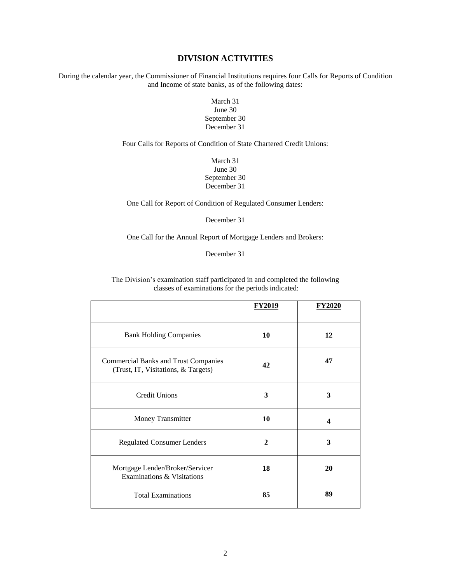#### **DIVISION ACTIVITIES**

During the calendar year, the Commissioner of Financial Institutions requires four Calls for Reports of Condition and Income of state banks, as of the following dates:

#### March 31 June 30 September 30 December 31

Four Calls for Reports of Condition of State Chartered Credit Unions:

March 31 June 30 September 30 December 31

One Call for Report of Condition of Regulated Consumer Lenders:

December 31

One Call for the Annual Report of Mortgage Lenders and Brokers:

December 31

The Division's examination staff participated in and completed the following classes of examinations for the periods indicated:

|                                                                                    | <b>FY2019</b> | <u>FY2020</u> |
|------------------------------------------------------------------------------------|---------------|---------------|
| <b>Bank Holding Companies</b>                                                      | 10            | 12            |
| <b>Commercial Banks and Trust Companies</b><br>(Trust, IT, Visitations, & Targets) | 42            | 47            |
| <b>Credit Unions</b>                                                               | 3             | 3             |
| <b>Money Transmitter</b>                                                           | 10            | 4             |
| <b>Regulated Consumer Lenders</b>                                                  | $\mathbf{2}$  | 3             |
| Mortgage Lender/Broker/Servicer<br>Examinations & Visitations                      | 18            | 20            |
| <b>Total Examinations</b>                                                          | 85            | 89            |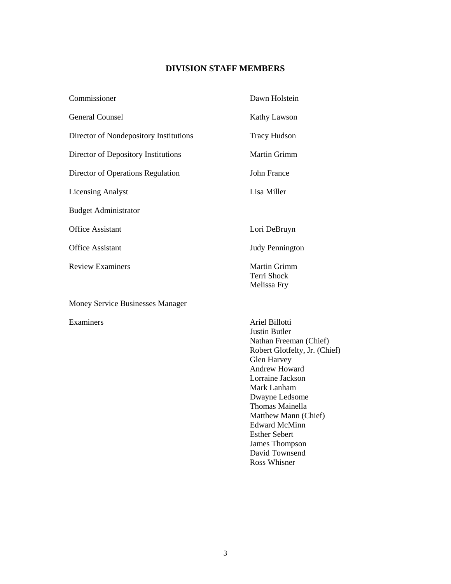# **DIVISION STAFF MEMBERS**

| Commissioner                           | Dawn Holstein                                                                                                                                                                                                                                                                                                                                |
|----------------------------------------|----------------------------------------------------------------------------------------------------------------------------------------------------------------------------------------------------------------------------------------------------------------------------------------------------------------------------------------------|
| <b>General Counsel</b>                 | <b>Kathy Lawson</b>                                                                                                                                                                                                                                                                                                                          |
| Director of Nondepository Institutions | <b>Tracy Hudson</b>                                                                                                                                                                                                                                                                                                                          |
| Director of Depository Institutions    | Martin Grimm                                                                                                                                                                                                                                                                                                                                 |
| Director of Operations Regulation      | <b>John France</b>                                                                                                                                                                                                                                                                                                                           |
| <b>Licensing Analyst</b>               | Lisa Miller                                                                                                                                                                                                                                                                                                                                  |
| <b>Budget Administrator</b>            |                                                                                                                                                                                                                                                                                                                                              |
| <b>Office Assistant</b>                | Lori DeBruyn                                                                                                                                                                                                                                                                                                                                 |
| <b>Office Assistant</b>                | <b>Judy Pennington</b>                                                                                                                                                                                                                                                                                                                       |
| <b>Review Examiners</b>                | Martin Grimm<br>Terri Shock<br>Melissa Fry                                                                                                                                                                                                                                                                                                   |
| Money Service Businesses Manager       |                                                                                                                                                                                                                                                                                                                                              |
| Examiners                              | Ariel Billotti<br><b>Justin Butler</b><br>Nathan Freeman (Chief)<br>Robert Glotfelty, Jr. (Chief)<br>Glen Harvey<br><b>Andrew Howard</b><br>Lorraine Jackson<br>Mark Lanham<br>Dwayne Ledsome<br>Thomas Mainella<br>Matthew Mann (Chief)<br><b>Edward McMinn</b><br><b>Esther Sebert</b><br>James Thompson<br>David Townsend<br>Ross Whisner |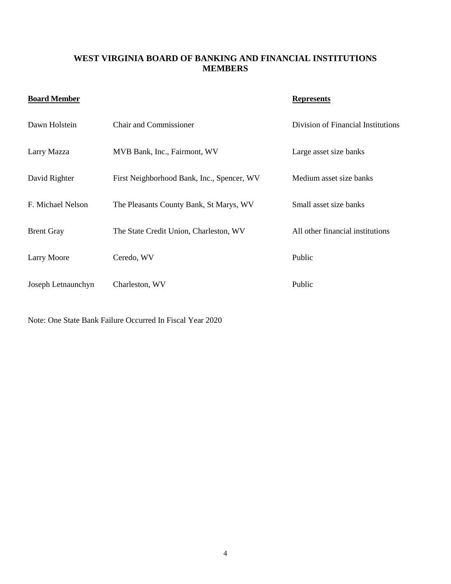## **WEST VIRGINIA BOARD OF BANKING AND FINANCIAL INSTITUTIONS MEMBERS**

# **Board Member Represents**

| Dawn Holstein      | <b>Chair and Commissioner</b>              | Division of Financial Institutions |
|--------------------|--------------------------------------------|------------------------------------|
| Larry Mazza        | MVB Bank, Inc., Fairmont, WV               | Large asset size banks             |
| David Righter      | First Neighborhood Bank, Inc., Spencer, WV | Medium asset size banks            |
| F. Michael Nelson  | The Pleasants County Bank, St Marys, WV    | Small asset size banks             |
| <b>Brent Gray</b>  | The State Credit Union, Charleston, WV     | All other financial institutions   |
| <b>Larry Moore</b> | Ceredo, WV                                 | Public                             |
| Joseph Letnaunchyn | Charleston, WV                             | Public                             |

Note: One State Bank Failure Occurred In Fiscal Year 2020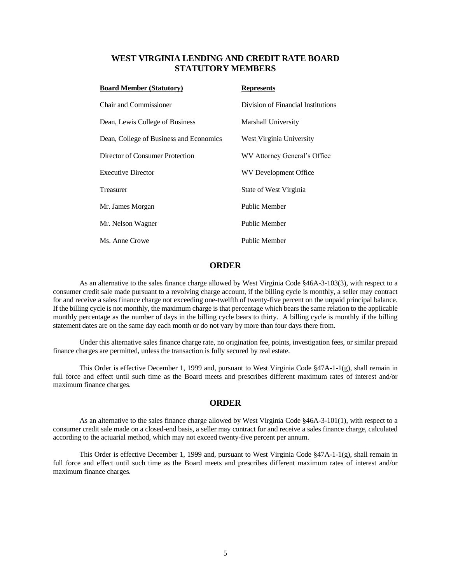#### **WEST VIRGINIA LENDING AND CREDIT RATE BOARD STATUTORY MEMBERS**

| <b>Board Member (Statutory)</b>         | <b>Represents</b>                  |
|-----------------------------------------|------------------------------------|
| <b>Chair and Commissioner</b>           | Division of Financial Institutions |
| Dean, Lewis College of Business         | Marshall University                |
| Dean, College of Business and Economics | West Virginia University           |
| Director of Consumer Protection         | WV Attorney General's Office       |
| <b>Executive Director</b>               | WV Development Office              |
| Treasurer                               | State of West Virginia             |
| Mr. James Morgan                        | Public Member                      |
| Mr. Nelson Wagner                       | Public Member                      |
| Ms. Anne Crowe                          | Public Member                      |

#### **ORDER**

As an alternative to the sales finance charge allowed by West Virginia Code §46A-3-103(3), with respect to a consumer credit sale made pursuant to a revolving charge account, if the billing cycle is monthly, a seller may contract for and receive a sales finance charge not exceeding one-twelfth of twenty-five percent on the unpaid principal balance. If the billing cycle is not monthly, the maximum charge is that percentage which bears the same relation to the applicable monthly percentage as the number of days in the billing cycle bears to thirty. A billing cycle is monthly if the billing statement dates are on the same day each month or do not vary by more than four days there from.

Under this alternative sales finance charge rate, no origination fee, points, investigation fees, or similar prepaid finance charges are permitted, unless the transaction is fully secured by real estate.

This Order is effective December 1, 1999 and, pursuant to West Virginia Code §47A-1-1(g), shall remain in full force and effect until such time as the Board meets and prescribes different maximum rates of interest and/or maximum finance charges.

#### **ORDER**

As an alternative to the sales finance charge allowed by West Virginia Code §46A-3-101(1), with respect to a consumer credit sale made on a closed-end basis, a seller may contract for and receive a sales finance charge, calculated according to the actuarial method, which may not exceed twenty-five percent per annum.

This Order is effective December 1, 1999 and, pursuant to West Virginia Code §47A-1-1(g), shall remain in full force and effect until such time as the Board meets and prescribes different maximum rates of interest and/or maximum finance charges.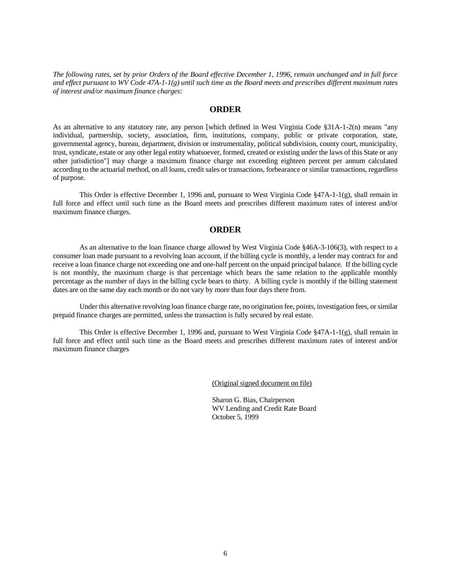*The following rates, set by prior Orders of the Board effective December 1, 1996, remain unchanged and in full force and effect pursuant to WV Code 47A-1-1(g) until such time as the Board meets and prescribes different maximum rates of interest and/or maximum finance charges:*

#### **ORDER**

As an alternative to any statutory rate, any person [which defined in West Virginia Code §31A-1-2(n) means "any individual, partnership, society, association, firm, institutions, company, public or private corporation, state, governmental agency, bureau, department, division or instrumentality, political subdivision, county court, municipality, trust, syndicate, estate or any other legal entity whatsoever, formed, created or existing under the laws of this State or any other jurisdiction"] may charge a maximum finance charge not exceeding eighteen percent per annum calculated according to the actuarial method, on all loans, credit sales or transactions, forbearance or similar transactions, regardless of purpose.

This Order is effective December 1, 1996 and, pursuant to West Virginia Code §47A-1-1(g), shall remain in full force and effect until such time as the Board meets and prescribes different maximum rates of interest and/or maximum finance charges.

#### **ORDER**

As an alternative to the loan finance charge allowed by West Virginia Code §46A-3-106(3), with respect to a consumer loan made pursuant to a revolving loan account, if the billing cycle is monthly, a lender may contract for and receive a loan finance charge not exceeding one and one-half percent on the unpaid principal balance. If the billing cycle is not monthly, the maximum charge is that percentage which bears the same relation to the applicable monthly percentage as the number of days in the billing cycle bears to thirty. A billing cycle is monthly if the billing statement dates are on the same day each month or do not vary by more than four days there from.

Under this alternative revolving loan finance charge rate, no origination fee, points, investigation fees, or similar prepaid finance charges are permitted, unless the transaction is fully secured by real estate.

This Order is effective December 1, 1996 and, pursuant to West Virginia Code §47A-1-1(g), shall remain in full force and effect until such time as the Board meets and prescribes different maximum rates of interest and/or maximum finance charges

(Original signed document on file)

Sharon G. Bias, Chairperson WV Lending and Credit Rate Board October 5, 1999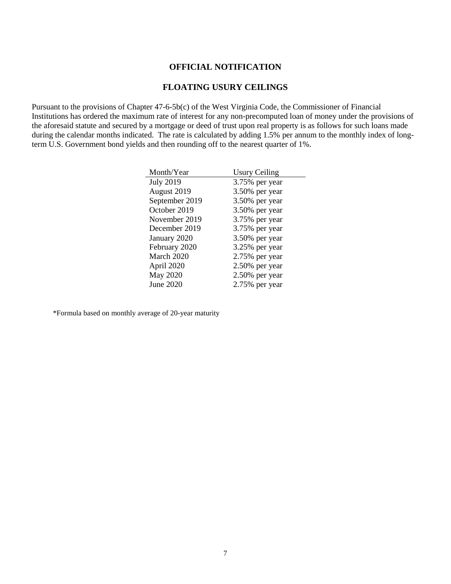#### **OFFICIAL NOTIFICATION**

#### **FLOATING USURY CEILINGS**

Pursuant to the provisions of Chapter 47-6-5b(c) of the West Virginia Code, the Commissioner of Financial Institutions has ordered the maximum rate of interest for any non-precomputed loan of money under the provisions of the aforesaid statute and secured by a mortgage or deed of trust upon real property is as follows for such loans made during the calendar months indicated. The rate is calculated by adding 1.5% per annum to the monthly index of longterm U.S. Government bond yields and then rounding off to the nearest quarter of 1%.

| Month/Year       | <b>Usury Ceiling</b> |
|------------------|----------------------|
| <b>July 2019</b> | 3.75% per year       |
| August 2019      | 3.50% per year       |
| September 2019   | 3.50% per year       |
| October 2019     | 3.50% per year       |
| November 2019    | 3.75% per year       |
| December 2019    | 3.75% per year       |
| January 2020     | 3.50% per year       |
| February 2020    | 3.25% per year       |
| March 2020       | 2.75% per year       |
| April 2020       | $2.50\%$ per year    |
| <b>May 2020</b>  | 2.50% per year       |
| <b>June 2020</b> | $2.75\%$ per year    |

\*Formula based on monthly average of 20-year maturity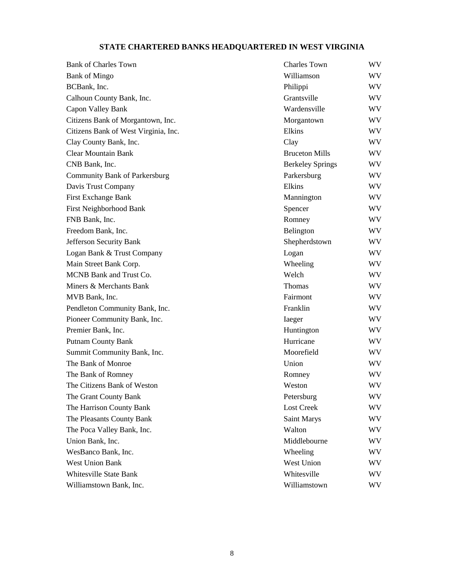# **STATE CHARTERED BANKS HEADQUARTERED IN WEST VIRGINIA**

| <b>Bank of Charles Town</b>          | <b>Charles Town</b>     | WV |
|--------------------------------------|-------------------------|----|
| <b>Bank of Mingo</b>                 | Williamson              | WV |
| BCBank, Inc.                         | Philippi                | WV |
| Calhoun County Bank, Inc.            | Grantsville             | WV |
| Capon Valley Bank                    | Wardensville            | WV |
| Citizens Bank of Morgantown, Inc.    | Morgantown              | WV |
| Citizens Bank of West Virginia, Inc. | Elkins                  | WV |
| Clay County Bank, Inc.               | Clay                    | WV |
| <b>Clear Mountain Bank</b>           | <b>Bruceton Mills</b>   | WV |
| CNB Bank, Inc.                       | <b>Berkeley Springs</b> | WV |
| <b>Community Bank of Parkersburg</b> | Parkersburg             | WV |
| Davis Trust Company                  | Elkins                  | WV |
| <b>First Exchange Bank</b>           | Mannington              | WV |
| First Neighborhood Bank              | Spencer                 | WV |
| FNB Bank, Inc.                       | Romney                  | WV |
| Freedom Bank, Inc.                   | Belington               | WV |
| Jefferson Security Bank              | Shepherdstown           | WV |
| Logan Bank & Trust Company           | Logan                   | WV |
| Main Street Bank Corp.               | Wheeling                | WV |
| MCNB Bank and Trust Co.              | Welch                   | WV |
| Miners & Merchants Bank              | Thomas                  | WV |
| MVB Bank, Inc.                       | Fairmont                | WV |
| Pendleton Community Bank, Inc.       | Franklin                | WV |
| Pioneer Community Bank, Inc.         | Iaeger                  | WV |
| Premier Bank, Inc.                   | Huntington              | WV |
| <b>Putnam County Bank</b>            | Hurricane               | WV |
| Summit Community Bank, Inc.          | Moorefield              | WV |
| The Bank of Monroe                   | Union                   | WV |
| The Bank of Romney                   | Romney                  | WV |
| The Citizens Bank of Weston          | Weston                  | WV |
| The Grant County Bank                | Petersburg              | WV |
| The Harrison County Bank             | Lost Creek              | WV |
| The Pleasants County Bank            | <b>Saint Marys</b>      | WV |
| The Poca Valley Bank, Inc.           | Walton                  | WV |
| Union Bank, Inc.                     | Middlebourne            | WV |
| WesBanco Bank, Inc.                  | Wheeling                | WV |
| <b>West Union Bank</b>               | West Union              | WV |
| <b>Whitesville State Bank</b>        | Whitesville             | WV |
| Williamstown Bank, Inc.              | Williamstown            | WV |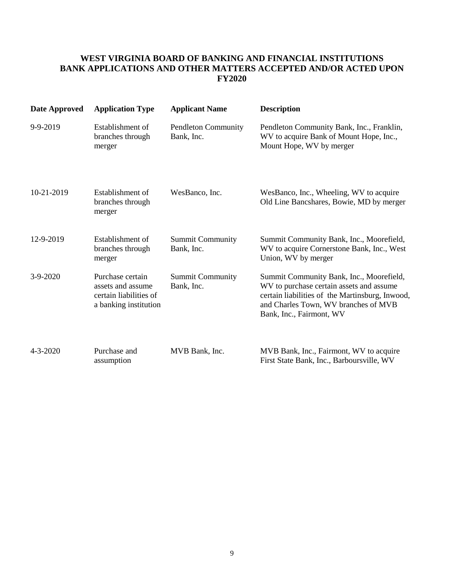## **WEST VIRGINIA BOARD OF BANKING AND FINANCIAL INSTITUTIONS BANK APPLICATIONS AND OTHER MATTERS ACCEPTED AND/OR ACTED UPON FY2020**

| Date Approved  | <b>Application Type</b>                                                                  | <b>Applicant Name</b>                    | <b>Description</b>                                                                                                                                                                                          |
|----------------|------------------------------------------------------------------------------------------|------------------------------------------|-------------------------------------------------------------------------------------------------------------------------------------------------------------------------------------------------------------|
| 9-9-2019       | Establishment of<br>branches through<br>merger                                           | <b>Pendleton Community</b><br>Bank, Inc. | Pendleton Community Bank, Inc., Franklin,<br>WV to acquire Bank of Mount Hope, Inc.,<br>Mount Hope, WV by merger                                                                                            |
| 10-21-2019     | Establishment of<br>branches through<br>merger                                           | WesBanco, Inc.                           | WesBanco, Inc., Wheeling, WV to acquire<br>Old Line Bancshares, Bowie, MD by merger                                                                                                                         |
| 12-9-2019      | Establishment of<br>branches through<br>merger                                           | <b>Summit Community</b><br>Bank, Inc.    | Summit Community Bank, Inc., Moorefield,<br>WV to acquire Cornerstone Bank, Inc., West<br>Union, WV by merger                                                                                               |
| $3-9-2020$     | Purchase certain<br>assets and assume<br>certain liabilities of<br>a banking institution | <b>Summit Community</b><br>Bank, Inc.    | Summit Community Bank, Inc., Moorefield,<br>WV to purchase certain assets and assume<br>certain liabilities of the Martinsburg, Inwood,<br>and Charles Town, WV branches of MVB<br>Bank, Inc., Fairmont, WV |
| $4 - 3 - 2020$ | Purchase and<br>assumption                                                               | MVB Bank, Inc.                           | MVB Bank, Inc., Fairmont, WV to acquire<br>First State Bank, Inc., Barboursville, WV                                                                                                                        |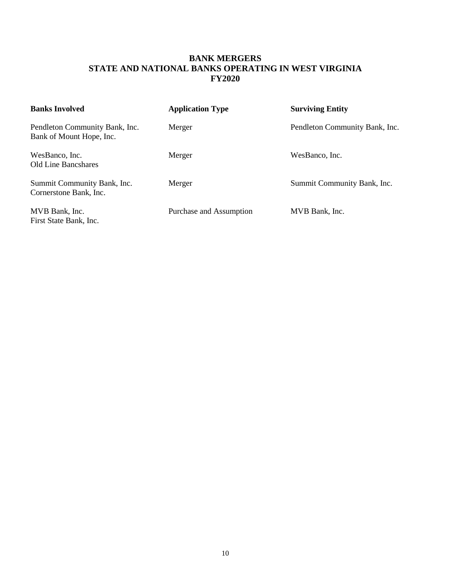## **BANK MERGERS STATE AND NATIONAL BANKS OPERATING IN WEST VIRGINIA FY2020**

| <b>Banks Involved</b>                                      | <b>Application Type</b> | <b>Surviving Entity</b>        |
|------------------------------------------------------------|-------------------------|--------------------------------|
| Pendleton Community Bank, Inc.<br>Bank of Mount Hope, Inc. | Merger                  | Pendleton Community Bank, Inc. |
| WesBanco, Inc.<br>Old Line Bancshares                      | Merger                  | WesBanco, Inc.                 |
| Summit Community Bank, Inc.<br>Cornerstone Bank, Inc.      | Merger                  | Summit Community Bank, Inc.    |
| MVB Bank, Inc.<br>First State Bank, Inc.                   | Purchase and Assumption | MVB Bank, Inc.                 |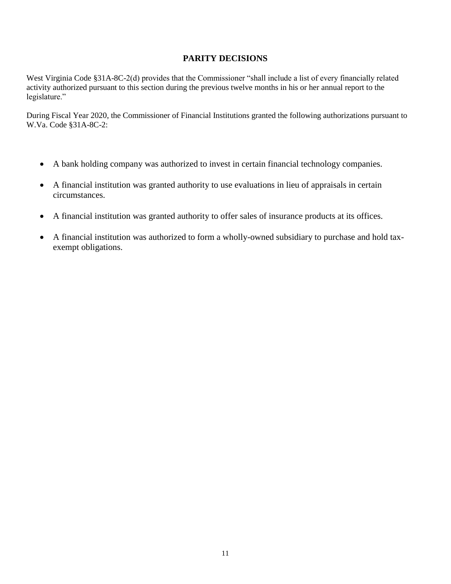#### **PARITY DECISIONS**

West Virginia Code §31A-8C-2(d) provides that the Commissioner "shall include a list of every financially related activity authorized pursuant to this section during the previous twelve months in his or her annual report to the legislature."

During Fiscal Year 2020, the Commissioner of Financial Institutions granted the following authorizations pursuant to W.Va. Code §31A-8C-2:

- A bank holding company was authorized to invest in certain financial technology companies.
- A financial institution was granted authority to use evaluations in lieu of appraisals in certain circumstances.
- A financial institution was granted authority to offer sales of insurance products at its offices.
- A financial institution was authorized to form a wholly-owned subsidiary to purchase and hold taxexempt obligations.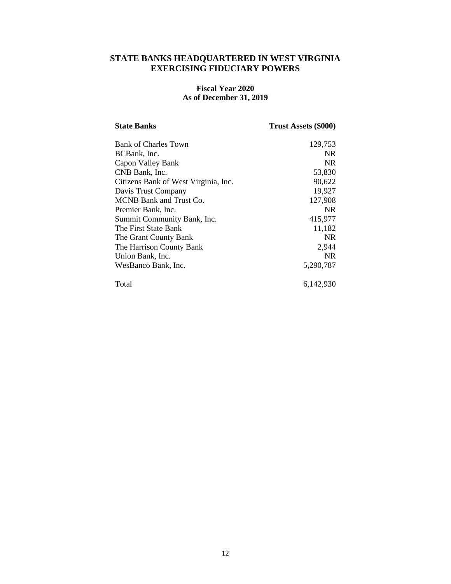#### **STATE BANKS HEADQUARTERED IN WEST VIRGINIA EXERCISING FIDUCIARY POWERS**

#### **Fiscal Year 2020 As of December 31, 2019**

| <b>State Banks</b>                   | Trust Assets (\$000) |
|--------------------------------------|----------------------|
| Bank of Charles Town                 | 129,753              |
| BCBank, Inc.                         | NR.                  |
| Capon Valley Bank                    | NR.                  |
| CNB Bank, Inc.                       | 53,830               |
| Citizens Bank of West Virginia, Inc. | 90,622               |
| Davis Trust Company                  | 19,927               |
| MCNB Bank and Trust Co.              | 127,908              |
| Premier Bank, Inc.                   | NR.                  |
| Summit Community Bank, Inc.          | 415,977              |
| The First State Bank                 | 11,182               |
| The Grant County Bank                | NR.                  |
| The Harrison County Bank             | 2,944                |
| Union Bank, Inc.                     | NR.                  |
| WesBanco Bank, Inc.                  | 5,290,787            |
| Total                                | 6,142,930            |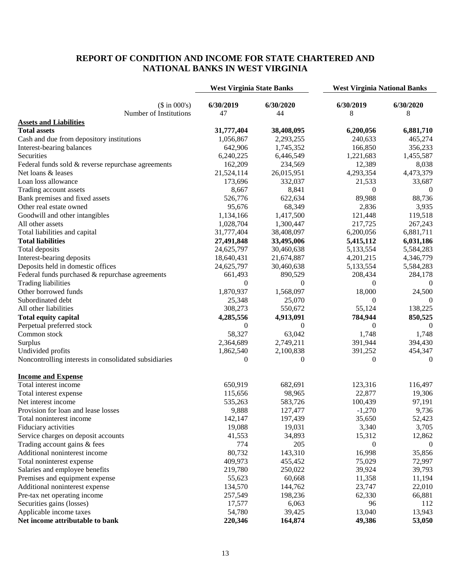## **REPORT OF CONDITION AND INCOME FOR STATE CHARTERED AND NATIONAL BANKS IN WEST VIRGINIA**

|                                                       | <b>West Virginia State Banks</b> |            | <b>West Virginia National Banks</b> |           |
|-------------------------------------------------------|----------------------------------|------------|-------------------------------------|-----------|
| $($ \text{ in } 000's)$                               | 6/30/2019                        | 6/30/2020  | 6/30/2019                           | 6/30/2020 |
| Number of Institutions                                | 47                               | 44         | 8                                   | 8         |
| <b>Assets and Liabilities</b>                         |                                  |            |                                     |           |
| <b>Total assets</b>                                   | 31,777,404                       | 38,408,095 | 6,200,056                           | 6,881,710 |
| Cash and due from depository institutions             | 1,056,867                        | 2,293,255  | 240,633                             | 465,274   |
| Interest-bearing balances                             | 642,906                          | 1,745,352  | 166,850                             | 356,233   |
| Securities                                            | 6,240,225                        | 6,446,549  | 1,221,683                           | 1,455,587 |
| Federal funds sold & reverse repurchase agreements    | 162,209                          | 234,569    | 12,389                              | 8,038     |
| Net loans & leases                                    | 21,524,114                       | 26,015,951 | 4,293,354                           | 4,473,379 |
| Loan loss allowance                                   | 173,696                          | 332,037    | 21,533                              | 33,687    |
| Trading account assets                                | 8,667                            | 8,841      | $\mathbf{0}$                        | $\theta$  |
| Bank premises and fixed assets                        | 526,776                          | 622,634    | 89,988                              | 88,736    |
| Other real estate owned                               | 95,676                           | 68,349     | 2,836                               | 3,935     |
| Goodwill and other intangibles                        | 1,134,166                        | 1,417,500  | 121,448                             | 119,518   |
| All other assets                                      | 1,028,704                        | 1,300,447  | 217,725                             | 267,243   |
| Total liabilities and capital                         | 31,777,404                       | 38,408,097 | 6,200,056                           | 6,881,711 |
| <b>Total liabilities</b>                              | 27,491,848                       | 33,495,006 | 5,415,112                           | 6,031,186 |
| Total deposits                                        | 24,625,797                       | 30,460,638 | 5,133,554                           | 5,584,283 |
| Interest-bearing deposits                             | 18,640,431                       | 21,674,887 | 4,201,215                           | 4,346,779 |
| Deposits held in domestic offices                     | 24,625,797                       | 30,460,638 | 5,133,554                           | 5,584,283 |
| Federal funds purchased & repurchase agreements       | 661,493                          | 890,529    | 208,434                             | 284,178   |
| <b>Trading liabilities</b>                            | $\mathbf{0}$                     | $\Omega$   | $\Omega$                            |           |
| Other borrowed funds                                  | 1,870,937                        | 1,568,097  | 18,000                              | 24,500    |
| Subordinated debt                                     | 25,348                           | 25,070     | $\theta$                            | $\theta$  |
| All other liabilities                                 | 308,273                          | 550,672    | 55,124                              | 138,225   |
| <b>Total equity capital</b>                           | 4,285,556                        | 4,913,091  | 784,944                             | 850,525   |
| Perpetual preferred stock                             | 0                                | $\theta$   | $\mathbf{0}$                        | $\left($  |
| Common stock                                          | 58,327                           | 63,042     | 1,748                               | 1,748     |
| Surplus                                               | 2,364,689                        | 2,749,211  | 391,944                             | 394,430   |
| Undivided profits                                     | 1,862,540                        | 2,100,838  | 391,252                             | 454,347   |
| Noncontrolling interests in consolidated subsidiaries | $\theta$                         | $\Omega$   | $\Omega$                            | $\theta$  |
| <b>Income and Expense</b>                             |                                  |            |                                     |           |
| Total interest income                                 | 650,919                          | 682,691    | 123,316                             | 116,497   |
| Total interest expense                                | 115,656                          | 98,965     | 22,877                              | 19,306    |
| Net interest income                                   | 535,263                          | 583,726    | 100,439                             | 97,191    |
| Provision for loan and lease losses                   | 9,888                            | 127,477    | $-1,270$                            | 9,736     |
| Total noninterest income                              | 142,147                          | 197,439    | 35,650                              | 52,423    |
| Fiduciary activities                                  | 19,088                           | 19,031     | 3,340                               | 3,705     |
| Service charges on deposit accounts                   | 41,553                           | 34,893     | 15,312                              | 12,862    |
| Trading account gains & fees                          | 774                              | 205        | $\boldsymbol{0}$                    | $\theta$  |
| Additional noninterest income                         | 80,732                           | 143,310    | 16,998                              | 35,856    |
| Total noninterest expense                             | 409,973                          | 455,452    | 75,029                              | 72,997    |
| Salaries and employee benefits                        | 219,780                          | 250,022    | 39,924                              | 39,793    |
| Premises and equipment expense                        | 55,623                           | 60,668     | 11,358                              | 11,194    |
| Additional noninterest expense                        | 134,570                          | 144,762    | 23,747                              | 22,010    |
| Pre-tax net operating income                          | 257,549                          | 198,236    | 62,330                              | 66,881    |
| Securities gains (losses)                             | 17,577                           | 6,063      | 96                                  | 112       |
| Applicable income taxes                               | 54,780                           | 39,425     | 13,040                              | 13,943    |
| Net income attributable to bank                       | 220,346                          | 164,874    | 49,386                              | 53,050    |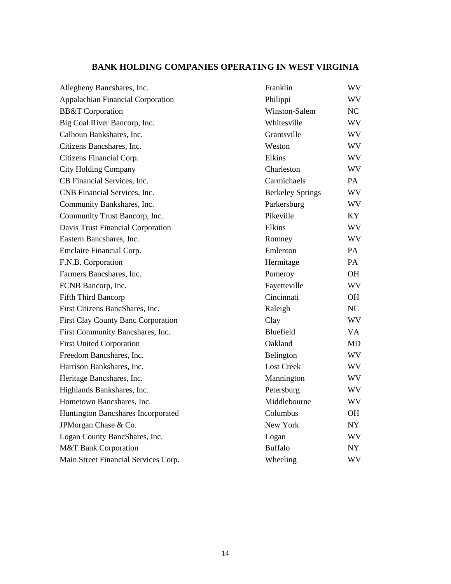# **BANK HOLDING COMPANIES OPERATING IN WEST VIRGINIA**

| Allegheny Bancshares, Inc.                | Franklin                | WV        |
|-------------------------------------------|-------------------------|-----------|
| Appalachian Financial Corporation         | Philippi                | WV.       |
| <b>BB&amp;T</b> Corporation               | Winston-Salem           | NC        |
| Big Coal River Bancorp, Inc.              | Whitesville             | <b>WV</b> |
| Calhoun Bankshares, Inc.                  | Grantsville             | WV        |
| Citizens Bancshares, Inc.                 | Weston                  | WV        |
| Citizens Financial Corp.                  | Elkins                  | <b>WV</b> |
| <b>City Holding Company</b>               | Charleston              | <b>WV</b> |
| CB Financial Services, Inc.               | Carmichaels             | PA        |
| CNB Financial Services, Inc.              | <b>Berkeley Springs</b> | <b>WV</b> |
| Community Bankshares, Inc.                | Parkersburg             | <b>WV</b> |
| Community Trust Bancorp, Inc.             | Pikeville               | KY.       |
| Davis Trust Financial Corporation         | Elkins                  | WV        |
| Eastern Bancshares, Inc.                  | Romney                  | <b>WV</b> |
| Emclaire Financial Corp.                  | Emlenton                | PA        |
| F.N.B. Corporation                        | Hermitage               | PA        |
| Farmers Bancshares, Inc.                  | Pomeroy                 | <b>OH</b> |
| FCNB Bancorp, Inc.                        | Fayetteville            | <b>WV</b> |
| Fifth Third Bancorp                       | Cincinnati              | <b>OH</b> |
| First Citizens BancShares, Inc.           | Raleigh                 | NC        |
| <b>First Clay County Banc Corporation</b> | Clay                    | <b>WV</b> |
| First Community Bancshares, Inc.          | Bluefield               | VA.       |
| <b>First United Corporation</b>           | Oakland                 | <b>MD</b> |
| Freedom Bancshares, Inc.                  | Belington               | <b>WV</b> |
| Harrison Bankshares, Inc.                 | <b>Lost Creek</b>       | WV        |
| Heritage Bancshares, Inc.                 | Mannington              | <b>WV</b> |
| Highlands Bankshares, Inc.                | Petersburg              | <b>WV</b> |
| Hometown Bancshares, Inc.                 | Middlebourne            | <b>WV</b> |
| Huntington Bancshares Incorporated        | Columbus                | OH.       |
| JPMorgan Chase & Co.                      | New York                | <b>NY</b> |
| Logan County BancShares, Inc.             | Logan                   | WV        |
| <b>M&amp;T Bank Corporation</b>           | <b>Buffalo</b>          | <b>NY</b> |
| Main Street Financial Services Corp.      | Wheeling                | WV        |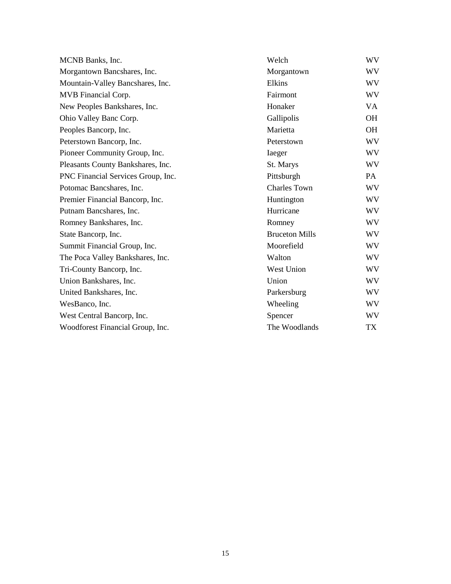| MCNB Banks, Inc.                   | Welch                 | WV        |
|------------------------------------|-----------------------|-----------|
| Morgantown Bancshares, Inc.        | Morgantown            | WV        |
| Mountain-Valley Bancshares, Inc.   | Elkins                | WV        |
| MVB Financial Corp.                | Fairmont              | WV        |
| New Peoples Bankshares, Inc.       | Honaker               | VA        |
| Ohio Valley Banc Corp.             | Gallipolis            | OH        |
| Peoples Bancorp, Inc.              | Marietta              | <b>OH</b> |
| Peterstown Bancorp, Inc.           | Peterstown            | WV        |
| Pioneer Community Group, Inc.      | Iaeger                | WV        |
| Pleasants County Bankshares, Inc.  | St. Marys             | WV        |
| PNC Financial Services Group, Inc. | Pittsburgh            | PA        |
| Potomac Bancshares, Inc.           | <b>Charles Town</b>   | WV        |
| Premier Financial Bancorp, Inc.    | Huntington            | WV        |
| Putnam Bancshares, Inc.            | Hurricane             | WV        |
| Romney Bankshares, Inc.            | Romney                | WV        |
| State Bancorp, Inc.                | <b>Bruceton Mills</b> | WV        |
| Summit Financial Group, Inc.       | Moorefield            | WV        |
| The Poca Valley Bankshares, Inc.   | Walton                | WV        |
| Tri-County Bancorp, Inc.           | West Union            | WV        |
| Union Bankshares, Inc.             | Union                 | WV        |
| United Bankshares, Inc.            | Parkersburg           | WV        |
| WesBanco, Inc.                     | Wheeling              | WV        |
| West Central Bancorp, Inc.         | Spencer               | WV        |
| Woodforest Financial Group, Inc.   | The Woodlands         | TX        |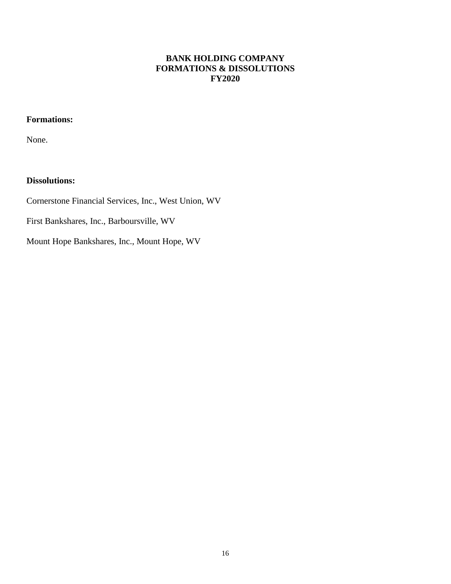# **BANK HOLDING COMPANY FORMATIONS & DISSOLUTIONS FY2020**

# **Formations:**

None.

# **Dissolutions:**

Cornerstone Financial Services, Inc., West Union, WV

First Bankshares, Inc., Barboursville, WV

Mount Hope Bankshares, Inc., Mount Hope, WV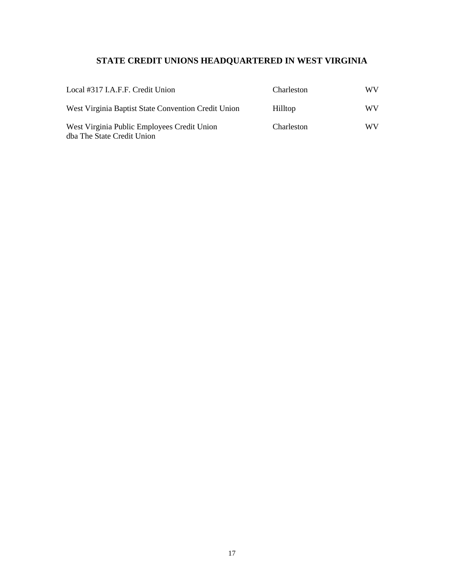# **STATE CREDIT UNIONS HEADQUARTERED IN WEST VIRGINIA**

| Local #317 I.A.F.F. Credit Union                                          | Charleston | WV. |
|---------------------------------------------------------------------------|------------|-----|
| West Virginia Baptist State Convention Credit Union                       | Hilltop    | WV. |
| West Virginia Public Employees Credit Union<br>dba The State Credit Union | Charleston | WV. |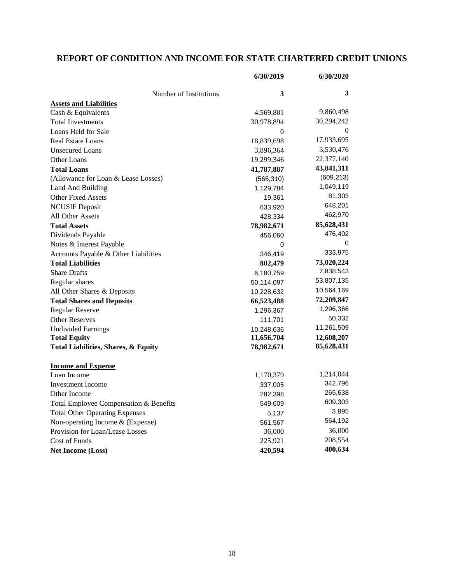# **REPORT OF CONDITION AND INCOME FOR STATE CHARTERED CREDIT UNIONS**

|                                        | 6/30/2019  | 6/30/2020  |
|----------------------------------------|------------|------------|
| Number of Institutions                 | 3          | 3          |
| <b>Assets and Liabilities</b>          |            |            |
| Cash & Equivalents                     | 4,569,801  | 9,860,498  |
| <b>Total Investments</b>               | 30,978,894 | 30,294,242 |
| Loans Held for Sale                    | 0          |            |
| <b>Real Estate Loans</b>               | 18,839,698 | 17,933,695 |
| <b>Unsecured Loans</b>                 | 3,896,364  | 3,530,476  |
| Other Loans                            | 19,299,346 | 22,377,140 |
| <b>Total Loans</b>                     | 41,787,887 | 43,841,311 |
| (Allowance for Loan & Lease Losses)    | (565, 310) | (609, 213) |
| Land And Building                      | 1,129,784  | 1,049,119  |
| <b>Other Fixed Assets</b>              | 19,361     | 81,303     |
| <b>NCUSIF</b> Deposit                  | 633,920    | 648,201    |
| All Other Assets                       | 428,334    | 462,970    |
| <b>Total Assets</b>                    | 78,982,671 | 85,628,431 |
| Dividends Payable                      | 456,060    | 476,402    |
| Notes & Interest Payable               | 0          |            |
| Accounts Payable & Other Liabilities   | 346,419    | 333,975    |
| <b>Total Liabilities</b>               | 802,479    | 73,020,224 |
| <b>Share Drafts</b>                    | 6,180,759  | 7,838,543  |
| Regular shares                         | 50,114,097 | 53,807,135 |
| All Other Shares & Deposits            | 10,228,632 | 10,564,169 |
| <b>Total Shares and Deposits</b>       | 66,523,488 | 72,209,847 |
| <b>Regular Reserve</b>                 | 1,296,367  | 1,296,366  |
| <b>Other Reserves</b>                  | 111,701    | 50,332     |
| <b>Undivided Earnings</b>              | 10,248,636 | 11,261,509 |
| <b>Total Equity</b>                    | 11,656,704 | 12,608,207 |
| Total Liabilities, Shares, & Equity    | 78,982,671 | 85,628,431 |
| <b>Income and Expense</b>              |            |            |
| Loan Income                            | 1,170,379  | 1,214,044  |
| <b>Investment Income</b>               | 337,005    | 342,796    |
| Other Income                           | 282,398    | 265,638    |
| Total Employee Compensation & Benefits | 549,609    | 609,303    |
| <b>Total Other Operating Expenses</b>  | 5,137      | 3,895      |
| Non-operating Income & (Expense)       | 561,567    | 564,192    |
| Provision for Loan/Lease Losses        | 36,000     | 36,000     |
| Cost of Funds                          | 225,921    | 208,554    |
| <b>Net Income (Loss)</b>               | 420,594    | 400,634    |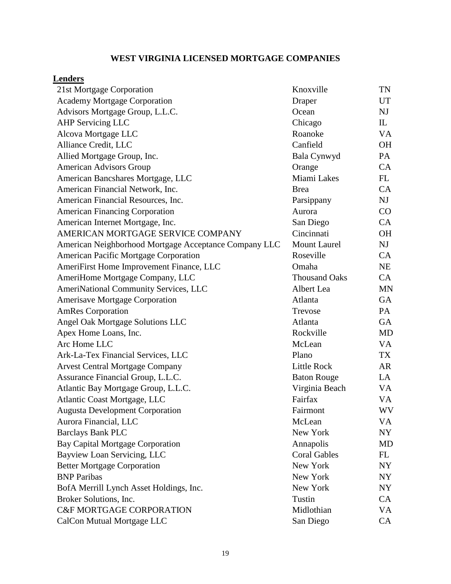# **WEST VIRGINIA LICENSED MORTGAGE COMPANIES**

# **Lenders**

| 21st Mortgage Corporation                             | Knoxville            | <b>TN</b> |
|-------------------------------------------------------|----------------------|-----------|
| <b>Academy Mortgage Corporation</b>                   | Draper               | UT        |
| Advisors Mortgage Group, L.L.C.                       | Ocean                | NJ        |
| <b>AHP Servicing LLC</b>                              | Chicago              | IL        |
| Alcova Mortgage LLC                                   | Roanoke              | VA        |
| Alliance Credit, LLC                                  | Canfield             | <b>OH</b> |
| Allied Mortgage Group, Inc.                           | Bala Cynwyd          | PA        |
| <b>American Advisors Group</b>                        | Orange               | CA        |
| American Bancshares Mortgage, LLC                     | Miami Lakes          | FL        |
| American Financial Network, Inc.                      | <b>Brea</b>          | CA        |
| American Financial Resources, Inc.                    | Parsippany           | NJ        |
| <b>American Financing Corporation</b>                 | Aurora               | CO        |
| American Internet Mortgage, Inc.                      | San Diego            | CA        |
| AMERICAN MORTGAGE SERVICE COMPANY                     | Cincinnati           | <b>OH</b> |
| American Neighborhood Mortgage Acceptance Company LLC | <b>Mount Laurel</b>  | NJ        |
| <b>American Pacific Mortgage Corporation</b>          | Roseville            | CA        |
| AmeriFirst Home Improvement Finance, LLC              | Omaha                | <b>NE</b> |
| AmeriHome Mortgage Company, LLC                       | <b>Thousand Oaks</b> | CA        |
| <b>AmeriNational Community Services, LLC</b>          | Albert Lea           | <b>MN</b> |
| <b>Amerisave Mortgage Corporation</b>                 | Atlanta              | GA        |
| <b>AmRes Corporation</b>                              | Trevose              | PA        |
| Angel Oak Mortgage Solutions LLC                      | Atlanta              | GA        |
| Apex Home Loans, Inc.                                 | Rockville            | <b>MD</b> |
| Arc Home LLC                                          | McLean               | VA        |
| Ark-La-Tex Financial Services, LLC                    | Plano                | TX        |
| <b>Arvest Central Mortgage Company</b>                | <b>Little Rock</b>   | AR        |
| Assurance Financial Group, L.L.C.                     | <b>Baton Rouge</b>   | LA        |
| Atlantic Bay Mortgage Group, L.L.C.                   | Virginia Beach       | VA        |
| Atlantic Coast Mortgage, LLC                          | Fairfax              | VA        |
| <b>Augusta Development Corporation</b>                | Fairmont             | WV        |
| Aurora Financial, LLC                                 | McLean               | VA        |
| <b>Barclays Bank PLC</b>                              | New York             | NY        |
| <b>Bay Capital Mortgage Corporation</b>               | Annapolis            | <b>MD</b> |
| Bayview Loan Servicing, LLC                           | <b>Coral Gables</b>  | FL        |
| <b>Better Mortgage Corporation</b>                    | New York             | NY        |
| <b>BNP</b> Paribas                                    | New York             | NY        |
| BofA Merrill Lynch Asset Holdings, Inc.               | New York             | NY        |
| Broker Solutions, Inc.                                | Tustin               | CA        |
| <b>C&amp;F MORTGAGE CORPORATION</b>                   | Midlothian           | VA        |
| CalCon Mutual Mortgage LLC                            | San Diego            | CA        |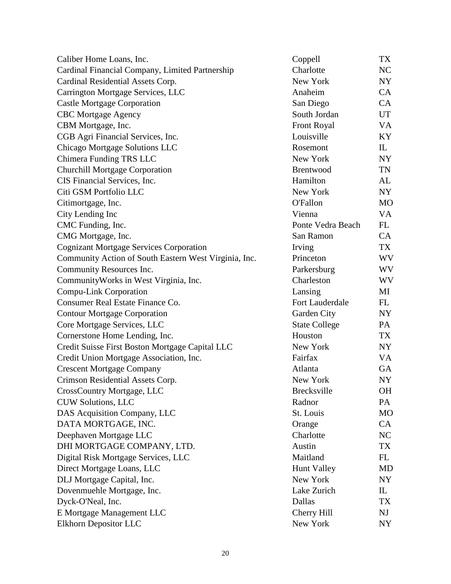| Caliber Home Loans, Inc.                              | Coppell              | TX           |
|-------------------------------------------------------|----------------------|--------------|
| Cardinal Financial Company, Limited Partnership       | Charlotte            | NC           |
| Cardinal Residential Assets Corp.                     | New York             | NY           |
| Carrington Mortgage Services, LLC                     | Anaheim              | CA           |
| <b>Castle Mortgage Corporation</b>                    | San Diego            | CA           |
| <b>CBC</b> Mortgage Agency                            | South Jordan         | <b>UT</b>    |
| CBM Mortgage, Inc.                                    | <b>Front Royal</b>   | VA           |
| CGB Agri Financial Services, Inc.                     | Louisville           | KY           |
| Chicago Mortgage Solutions LLC                        | Rosemont             | $\mathbf{L}$ |
| Chimera Funding TRS LLC                               | New York             | NY           |
| <b>Churchill Mortgage Corporation</b>                 | Brentwood            | TN           |
| CIS Financial Services, Inc.                          | Hamilton             | AL           |
| Citi GSM Portfolio LLC                                | New York             | NY           |
| Citimortgage, Inc.                                    | <b>O'Fallon</b>      | <b>MO</b>    |
| City Lending Inc                                      | Vienna               | VA           |
| CMC Funding, Inc.                                     | Ponte Vedra Beach    | FL           |
| CMG Mortgage, Inc.                                    | San Ramon            | CA           |
| <b>Cognizant Mortgage Services Corporation</b>        | Irving               | TX           |
| Community Action of South Eastern West Virginia, Inc. | Princeton            | WV           |
| Community Resources Inc.                              | Parkersburg          | WV           |
| Community Works in West Virginia, Inc.                | Charleston           | WV           |
| Compu-Link Corporation                                | Lansing              | MI           |
| Consumer Real Estate Finance Co.                      | Fort Lauderdale      | FL           |
| <b>Contour Mortgage Corporation</b>                   | Garden City          | NY           |
| Core Mortgage Services, LLC                           | <b>State College</b> | PA           |
| Cornerstone Home Lending, Inc.                        | Houston              | TX           |
| Credit Suisse First Boston Mortgage Capital LLC       | New York             | NY           |
| Credit Union Mortgage Association, Inc.               | Fairfax              | VA           |
| <b>Crescent Mortgage Company</b>                      | Atlanta              | GA           |
| Crimson Residential Assets Corp.                      | New York             | <b>NY</b>    |
| CrossCountry Mortgage, LLC                            | <b>Brecksville</b>   | <b>OH</b>    |
| CUW Solutions, LLC                                    | Radnor               | PA           |
| DAS Acquisition Company, LLC                          | St. Louis            | <b>MO</b>    |
| DATA MORTGAGE, INC.                                   | Orange               | <b>CA</b>    |
| Deephaven Mortgage LLC                                | Charlotte            | NC           |
| DHI MORTGAGE COMPANY, LTD.                            | Austin               | <b>TX</b>    |
| Digital Risk Mortgage Services, LLC                   | Maitland             | FL           |
| Direct Mortgage Loans, LLC                            | <b>Hunt Valley</b>   | <b>MD</b>    |
| DLJ Mortgage Capital, Inc.                            | New York             | NY           |
| Dovenmuehle Mortgage, Inc.                            | Lake Zurich          | $\mathbf{L}$ |
| Dyck-O'Neal, Inc.                                     | Dallas               | TX           |
| E Mortgage Management LLC                             | <b>Cherry Hill</b>   | NJ           |
| Elkhorn Depositor LLC                                 | New York             | NY           |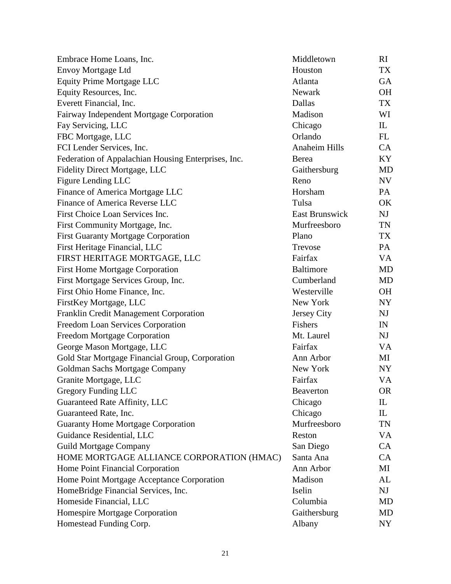| Embrace Home Loans, Inc.                            | Middletown            | RI                              |
|-----------------------------------------------------|-----------------------|---------------------------------|
| <b>Envoy Mortgage Ltd</b>                           | Houston               | TX                              |
| Equity Prime Mortgage LLC                           | Atlanta               | <b>GA</b>                       |
| Equity Resources, Inc.                              | <b>Newark</b>         | <b>OH</b>                       |
| Everett Financial, Inc.                             | Dallas                | TX                              |
| Fairway Independent Mortgage Corporation            | Madison               | WI                              |
| Fay Servicing, LLC                                  | Chicago               | $\mathop{\mathrm{IL}}\nolimits$ |
| FBC Mortgage, LLC                                   | Orlando               | FL                              |
| FCI Lender Services, Inc.                           | Anaheim Hills         | <b>CA</b>                       |
| Federation of Appalachian Housing Enterprises, Inc. | Berea                 | KY                              |
| Fidelity Direct Mortgage, LLC                       | Gaithersburg          | <b>MD</b>                       |
| Figure Lending LLC                                  | Reno                  | <b>NV</b>                       |
| Finance of America Mortgage LLC                     | Horsham               | PA                              |
| Finance of America Reverse LLC                      | Tulsa                 | OK                              |
| First Choice Loan Services Inc.                     | <b>East Brunswick</b> | NJ                              |
| First Community Mortgage, Inc.                      | Murfreesboro          | TN                              |
| <b>First Guaranty Mortgage Corporation</b>          | Plano                 | <b>TX</b>                       |
| First Heritage Financial, LLC                       | Trevose               | PA                              |
| FIRST HERITAGE MORTGAGE, LLC                        | Fairfax               | <b>VA</b>                       |
| <b>First Home Mortgage Corporation</b>              | <b>Baltimore</b>      | <b>MD</b>                       |
| First Mortgage Services Group, Inc.                 | Cumberland            | <b>MD</b>                       |
| First Ohio Home Finance, Inc.                       | Westerville           | <b>OH</b>                       |
| FirstKey Mortgage, LLC                              | New York              | <b>NY</b>                       |
| Franklin Credit Management Corporation              | Jersey City           | <b>NJ</b>                       |
| Freedom Loan Services Corporation                   | Fishers               | IN                              |
| <b>Freedom Mortgage Corporation</b>                 | Mt. Laurel            | NJ                              |
| George Mason Mortgage, LLC                          | Fairfax               | <b>VA</b>                       |
| Gold Star Mortgage Financial Group, Corporation     | Ann Arbor             | MI                              |
| Goldman Sachs Mortgage Company                      | New York              | NY <sub></sub>                  |
| Granite Mortgage, LLC                               | Fairfax               | <b>VA</b>                       |
| <b>Gregory Funding LLC</b>                          | <b>Beaverton</b>      | <b>OR</b>                       |
| Guaranteed Rate Affinity, LLC                       | Chicago               | $\mathbf{L}$                    |
| Guaranteed Rate, Inc.                               | Chicago               | $\mathbf{L}$                    |
| <b>Guaranty Home Mortgage Corporation</b>           | Murfreesboro          | <b>TN</b>                       |
| Guidance Residential, LLC                           | Reston                | VA                              |
| <b>Guild Mortgage Company</b>                       | San Diego             | CA                              |
| HOME MORTGAGE ALLIANCE CORPORATION (HMAC)           | Santa Ana             | CA                              |
| Home Point Financial Corporation                    | Ann Arbor             | MI                              |
| Home Point Mortgage Acceptance Corporation          | Madison               | AL                              |
| HomeBridge Financial Services, Inc.                 | Iselin                | NJ                              |
| Homeside Financial, LLC                             | Columbia              | <b>MD</b>                       |
| Homespire Mortgage Corporation                      | Gaithersburg          | <b>MD</b>                       |
| Homestead Funding Corp.                             | Albany                | NY                              |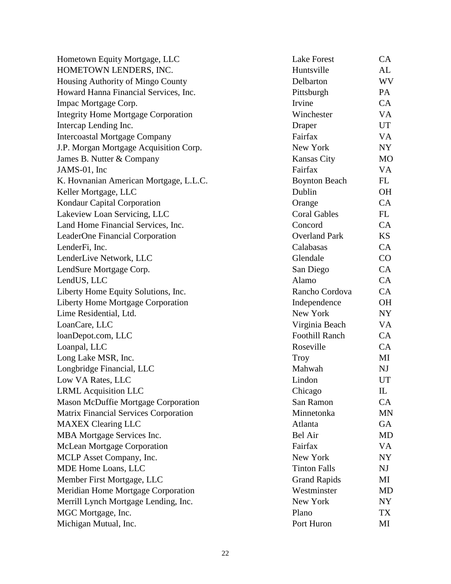| Hometown Equity Mortgage, LLC                | <b>Lake Forest</b>    | CA             |
|----------------------------------------------|-----------------------|----------------|
| HOMETOWN LENDERS, INC.                       | Huntsville            | AL             |
| Housing Authority of Mingo County            | Delbarton             | WV             |
| Howard Hanna Financial Services, Inc.        | Pittsburgh            | PA             |
| Impac Mortgage Corp.                         | Irvine                | CA             |
| <b>Integrity Home Mortgage Corporation</b>   | Winchester            | VA             |
| Intercap Lending Inc.                        | Draper                | UT             |
| <b>Intercoastal Mortgage Company</b>         | Fairfax               | VA             |
| J.P. Morgan Mortgage Acquisition Corp.       | New York              | NY             |
| James B. Nutter & Company                    | <b>Kansas City</b>    | <b>MO</b>      |
| JAMS-01, Inc                                 | Fairfax               | VA             |
| K. Hovnanian American Mortgage, L.L.C.       | <b>Boynton Beach</b>  | FL             |
| Keller Mortgage, LLC                         | Dublin                | <b>OH</b>      |
| Kondaur Capital Corporation                  | Orange                | CA             |
| Lakeview Loan Servicing, LLC                 | <b>Coral Gables</b>   | FL             |
| Land Home Financial Services, Inc.           | Concord               | CA             |
| LeaderOne Financial Corporation              | <b>Overland Park</b>  | KS             |
| LenderFi, Inc.                               | Calabasas             | CA             |
| LenderLive Network, LLC                      | Glendale              | CO             |
| LendSure Mortgage Corp.                      | San Diego             | CA             |
| LendUS, LLC                                  | Alamo                 | CA             |
| Liberty Home Equity Solutions, Inc.          | Rancho Cordova        | CA             |
| <b>Liberty Home Mortgage Corporation</b>     | Independence          | <b>OH</b>      |
| Lime Residential, Ltd.                       | New York              | NY             |
| LoanCare, LLC                                | Virginia Beach        | VA             |
| loanDepot.com, LLC                           | <b>Foothill Ranch</b> | CA             |
| Loanpal, LLC                                 | Roseville             | <b>CA</b>      |
| Long Lake MSR, Inc.                          | Troy                  | MI             |
| Longbridge Financial, LLC                    | Mahwah                | NJ             |
| Low VA Rates, LLC                            | Lindon                | <b>UT</b>      |
| <b>LRML</b> Acquisition LLC                  | Chicago               | $\mathbf{L}$   |
| <b>Mason McDuffie Mortgage Corporation</b>   | San Ramon             | CA             |
| <b>Matrix Financial Services Corporation</b> | Minnetonka            | <b>MN</b>      |
| <b>MAXEX Clearing LLC</b>                    | Atlanta               | GA             |
| MBA Mortgage Services Inc.                   | Bel Air               | <b>MD</b>      |
| <b>McLean Mortgage Corporation</b>           | Fairfax               | VA             |
| MCLP Asset Company, Inc.                     | New York              | NY             |
| MDE Home Loans, LLC                          | <b>Tinton Falls</b>   | N <sub>J</sub> |
| Member First Mortgage, LLC                   | <b>Grand Rapids</b>   | MI             |
| Meridian Home Mortgage Corporation           | Westminster           | <b>MD</b>      |
| Merrill Lynch Mortgage Lending, Inc.         | New York              | NY             |
| MGC Mortgage, Inc.                           | Plano                 | TX             |
| Michigan Mutual, Inc.                        | Port Huron            | MI             |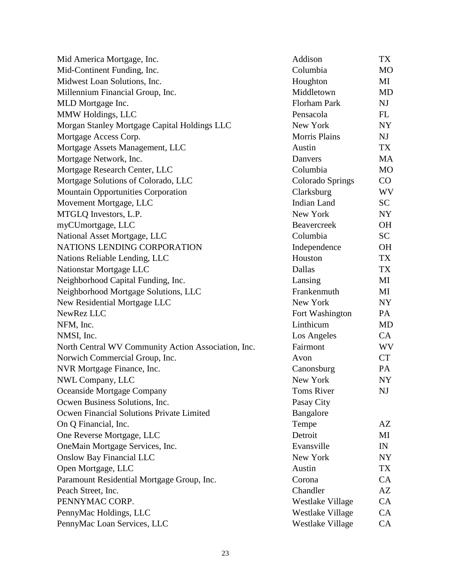| Mid America Mortgage, Inc.                          | Addison                 | TX             |
|-----------------------------------------------------|-------------------------|----------------|
| Mid-Continent Funding, Inc.                         | Columbia                | <b>MO</b>      |
| Midwest Loan Solutions, Inc.                        | Houghton                | MI             |
| Millennium Financial Group, Inc.                    | Middletown              | <b>MD</b>      |
| MLD Mortgage Inc.                                   | <b>Florham Park</b>     | N <sub>J</sub> |
| MMW Holdings, LLC                                   | Pensacola               | FL             |
| Morgan Stanley Mortgage Capital Holdings LLC        | New York                | NY             |
| Mortgage Access Corp.                               | <b>Morris Plains</b>    | N <sub>J</sub> |
| Mortgage Assets Management, LLC                     | Austin                  | TX             |
| Mortgage Network, Inc.                              | Danvers                 | MA             |
| Mortgage Research Center, LLC                       | Columbia                | <b>MO</b>      |
| Mortgage Solutions of Colorado, LLC                 | <b>Colorado Springs</b> | CO             |
| <b>Mountain Opportunities Corporation</b>           | Clarksburg              | WV             |
| Movement Mortgage, LLC                              | <b>Indian Land</b>      | <b>SC</b>      |
| MTGLQ Investors, L.P.                               | New York                | NY             |
| myCUmortgage, LLC                                   | Beavercreek             | <b>OH</b>      |
| National Asset Mortgage, LLC                        | Columbia                | <b>SC</b>      |
| NATIONS LENDING CORPORATION                         | Independence            | <b>OH</b>      |
| Nations Reliable Lending, LLC                       | Houston                 | TX             |
| Nationstar Mortgage LLC                             | Dallas                  | TX             |
| Neighborhood Capital Funding, Inc.                  | Lansing                 | MI             |
| Neighborhood Mortgage Solutions, LLC                | Frankenmuth             | MI             |
| New Residential Mortgage LLC                        | New York                | NY             |
| NewRez LLC                                          | Fort Washington         | PA             |
| NFM, Inc.                                           | Linthicum               | <b>MD</b>      |
| NMSI, Inc.                                          | Los Angeles             | CA             |
| North Central WV Community Action Association, Inc. | Fairmont                | WV             |
| Norwich Commercial Group, Inc.                      | Avon                    | <b>CT</b>      |
| NVR Mortgage Finance, Inc.                          | Canonsburg              | PA             |
| NWL Company, LLC                                    | New York                | <b>NY</b>      |
| Oceanside Mortgage Company                          | <b>Toms River</b>       | NJ             |
| Ocwen Business Solutions, Inc.                      | Pasay City              |                |
| Ocwen Financial Solutions Private Limited           | Bangalore               |                |
| On Q Financial, Inc.                                | Tempe                   | AZ             |
| One Reverse Mortgage, LLC                           | Detroit                 | MI             |
| OneMain Mortgage Services, Inc.                     | Evansville              | IN             |
| <b>Onslow Bay Financial LLC</b>                     | New York                | NY             |
| Open Mortgage, LLC                                  | Austin                  | TX             |
| Paramount Residential Mortgage Group, Inc.          | Corona                  | CA             |
| Peach Street, Inc.                                  | Chandler                | AZ             |
| PENNYMAC CORP.                                      | Westlake Village        | CA             |
| PennyMac Holdings, LLC                              | Westlake Village        | CA             |
| PennyMac Loan Services, LLC                         | Westlake Village        | CA             |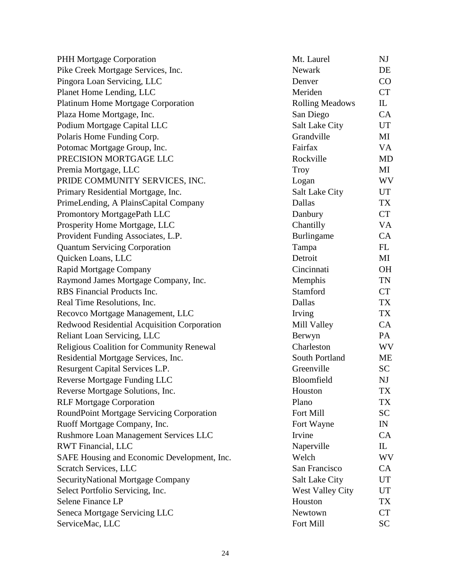| PHH Mortgage Corporation                    | Mt. Laurel              | NJ                              |
|---------------------------------------------|-------------------------|---------------------------------|
| Pike Creek Mortgage Services, Inc.          | Newark                  | DE                              |
| Pingora Loan Servicing, LLC                 | Denver                  | $\rm CO$                        |
| Planet Home Lending, LLC                    | Meriden                 | <b>CT</b>                       |
| <b>Platinum Home Mortgage Corporation</b>   | <b>Rolling Meadows</b>  | $\mathop{\mathrm{IL}}\nolimits$ |
| Plaza Home Mortgage, Inc.                   | San Diego               | CA                              |
| Podium Mortgage Capital LLC                 | <b>Salt Lake City</b>   | UT                              |
| Polaris Home Funding Corp.                  | Grandville              | MI                              |
| Potomac Mortgage Group, Inc.                | Fairfax                 | VA                              |
| PRECISION MORTGAGE LLC                      | Rockville               | <b>MD</b>                       |
| Premia Mortgage, LLC                        | <b>Troy</b>             | MI                              |
| PRIDE COMMUNITY SERVICES, INC.              | Logan                   | WV                              |
| Primary Residential Mortgage, Inc.          | <b>Salt Lake City</b>   | UT                              |
| PrimeLending, A PlainsCapital Company       | Dallas                  | TX                              |
| Promontory MortgagePath LLC                 | Danbury                 | <b>CT</b>                       |
| Prosperity Home Mortgage, LLC               | Chantilly               | VA                              |
| Provident Funding Associates, L.P.          | Burlingame              | CA                              |
| <b>Quantum Servicing Corporation</b>        | Tampa                   | FL                              |
| Quicken Loans, LLC                          | Detroit                 | MI                              |
| Rapid Mortgage Company                      | Cincinnati              | <b>OH</b>                       |
| Raymond James Mortgage Company, Inc.        | Memphis                 | TN                              |
| RBS Financial Products Inc.                 | Stamford                | <b>CT</b>                       |
| Real Time Resolutions, Inc.                 | Dallas                  | <b>TX</b>                       |
| Recovco Mortgage Management, LLC            | Irving                  | TX                              |
| Redwood Residential Acquisition Corporation | Mill Valley             | CA                              |
| Reliant Loan Servicing, LLC                 | Berwyn                  | PA                              |
| Religious Coalition for Community Renewal   | Charleston              | WV                              |
| Residential Mortgage Services, Inc.         | South Portland          | <b>ME</b>                       |
| Resurgent Capital Services L.P.             | Greenville              | <b>SC</b>                       |
| Reverse Mortgage Funding LLC                | Bloomfield              | NJ                              |
| Reverse Mortgage Solutions, Inc.            | Houston                 | TX                              |
| <b>RLF Mortgage Corporation</b>             | Plano                   | TX                              |
| RoundPoint Mortgage Servicing Corporation   | Fort Mill               | SC                              |
| Ruoff Mortgage Company, Inc.                | Fort Wayne              | IN                              |
| Rushmore Loan Management Services LLC       | Irvine                  | CA                              |
| <b>RWT Financial, LLC</b>                   | Naperville              | IL                              |
| SAFE Housing and Economic Development, Inc. | Welch                   | WV                              |
| <b>Scratch Services, LLC</b>                | San Francisco           | CA                              |
| SecurityNational Mortgage Company           | <b>Salt Lake City</b>   | UT                              |
| Select Portfolio Servicing, Inc.            | <b>West Valley City</b> | UT                              |
| Selene Finance LP                           | Houston                 | TX                              |
| Seneca Mortgage Servicing LLC               | Newtown                 | <b>CT</b>                       |
| ServiceMac, LLC                             | Fort Mill               | <b>SC</b>                       |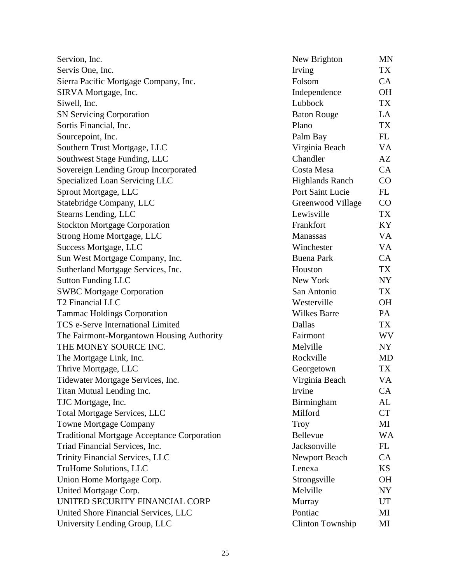| Servion, Inc.                                      | New Brighton            | <b>MN</b> |
|----------------------------------------------------|-------------------------|-----------|
| Servis One, Inc.                                   | Irving                  | TX        |
| Sierra Pacific Mortgage Company, Inc.              | Folsom                  | CA        |
| SIRVA Mortgage, Inc.                               | Independence            | <b>OH</b> |
| Siwell, Inc.                                       | Lubbock                 | TX        |
| <b>SN Servicing Corporation</b>                    | <b>Baton Rouge</b>      | LA        |
| Sortis Financial, Inc.                             | Plano                   | <b>TX</b> |
| Sourcepoint, Inc.                                  | Palm Bay                | FL        |
| Southern Trust Mortgage, LLC                       | Virginia Beach          | VA        |
| Southwest Stage Funding, LLC                       | Chandler                | AZ        |
| Sovereign Lending Group Incorporated               | Costa Mesa              | CA        |
| Specialized Loan Servicing LLC                     | <b>Highlands Ranch</b>  | CO        |
| Sprout Mortgage, LLC                               | Port Saint Lucie        | FL        |
| Statebridge Company, LLC                           | Greenwood Village       | CO        |
| Stearns Lending, LLC                               | Lewisville              | <b>TX</b> |
| <b>Stockton Mortgage Corporation</b>               | Frankfort               | KY        |
| <b>Strong Home Mortgage, LLC</b>                   | Manassas                | VA        |
| Success Mortgage, LLC                              | Winchester              | VA        |
| Sun West Mortgage Company, Inc.                    | <b>Buena Park</b>       | CA        |
| Sutherland Mortgage Services, Inc.                 | Houston                 | TX        |
| <b>Sutton Funding LLC</b>                          | New York                | NY        |
| <b>SWBC Mortgage Corporation</b>                   | San Antonio             | TX        |
| <b>T2 Financial LLC</b>                            | Westerville             | <b>OH</b> |
| <b>Tammac Holdings Corporation</b>                 | <b>Wilkes Barre</b>     | PA        |
| <b>TCS e-Serve International Limited</b>           | Dallas                  | TX        |
| The Fairmont-Morgantown Housing Authority          | Fairmont                | WV        |
| THE MONEY SOURCE INC.                              | Melville                | NY        |
| The Mortgage Link, Inc.                            | Rockville               | <b>MD</b> |
| Thrive Mortgage, LLC                               | Georgetown              | TX        |
| Tidewater Mortgage Services, Inc.                  | Virginia Beach          | <b>VA</b> |
| Titan Mutual Lending Inc.                          | Irvine                  | CA        |
| TJC Mortgage, Inc.                                 | Birmingham              | AL        |
| <b>Total Mortgage Services, LLC</b>                | Milford                 | <b>CT</b> |
| <b>Towne Mortgage Company</b>                      | Troy                    | MI        |
| <b>Traditional Mortgage Acceptance Corporation</b> | Bellevue                | WA        |
| Triad Financial Services, Inc.                     | Jacksonville            | FL        |
| Trinity Financial Services, LLC                    | Newport Beach           | <b>CA</b> |
| <b>TruHome Solutions, LLC</b>                      | Lenexa                  | <b>KS</b> |
| Union Home Mortgage Corp.                          | Strongsville            | <b>OH</b> |
| United Mortgage Corp.                              | Melville                | NY        |
| UNITED SECURITY FINANCIAL CORP                     | Murray                  | UT        |
| United Shore Financial Services, LLC               | Pontiac                 | MI        |
| University Lending Group, LLC                      | <b>Clinton Township</b> | MI        |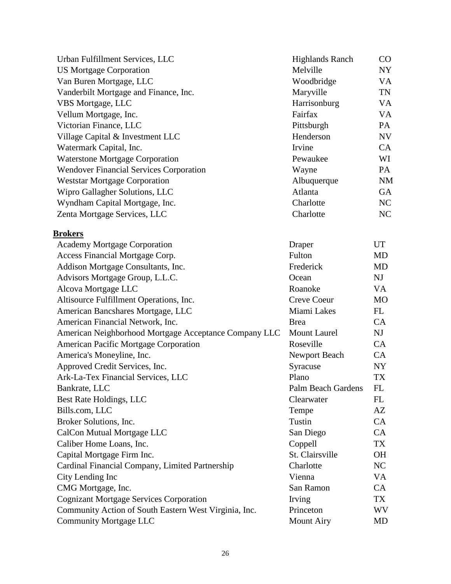| Urban Fulfillment Services, LLC                       | <b>Highlands Ranch</b>    | $\rm CO$  |
|-------------------------------------------------------|---------------------------|-----------|
| <b>US Mortgage Corporation</b>                        | Melville                  | <b>NY</b> |
| Van Buren Mortgage, LLC                               | Woodbridge                | VA        |
| Vanderbilt Mortgage and Finance, Inc.                 | Maryville                 | TN        |
| VBS Mortgage, LLC                                     | Harrisonburg              | VA        |
| Vellum Mortgage, Inc.                                 | Fairfax                   | <b>VA</b> |
| Victorian Finance, LLC                                | Pittsburgh                | PA        |
| Village Capital & Investment LLC                      | Henderson                 | NV        |
| Watermark Capital, Inc.                               | Irvine                    | <b>CA</b> |
| <b>Waterstone Mortgage Corporation</b>                | Pewaukee                  | WI        |
| <b>Wendover Financial Services Corporation</b>        | Wayne                     | PA        |
| <b>Weststar Mortgage Corporation</b>                  | Albuquerque               | <b>NM</b> |
| Wipro Gallagher Solutions, LLC                        | Atlanta                   | <b>GA</b> |
| Wyndham Capital Mortgage, Inc.                        | Charlotte                 | NC        |
| Zenta Mortgage Services, LLC                          | Charlotte                 | NC        |
| <b>Brokers</b>                                        |                           |           |
| <b>Academy Mortgage Corporation</b>                   | Draper                    | <b>UT</b> |
| Access Financial Mortgage Corp.                       | Fulton                    | MD        |
| Addison Mortgage Consultants, Inc.                    | Frederick                 | <b>MD</b> |
| Advisors Mortgage Group, L.L.C.                       | Ocean                     | <b>NJ</b> |
| Alcova Mortgage LLC                                   | Roanoke                   | VA        |
| Altisource Fulfillment Operations, Inc.               | <b>Creve Coeur</b>        | <b>MO</b> |
| American Bancshares Mortgage, LLC                     | Miami Lakes               | FL        |
| American Financial Network, Inc.                      | <b>Brea</b>               | CA        |
| American Neighborhood Mortgage Acceptance Company LLC | <b>Mount Laurel</b>       | <b>NJ</b> |
| American Pacific Mortgage Corporation                 | Roseville                 | CA        |
| America's Moneyline, Inc.                             | Newport Beach             | CA        |
| Approved Credit Services, Inc.                        | Syracuse                  | <b>NY</b> |
| Ark-La-Tex Financial Services, LLC                    | Plano                     | TX        |
| Bankrate, LLC                                         | <b>Palm Beach Gardens</b> | <b>FL</b> |
| Best Rate Holdings, LLC                               | Clearwater                | FL        |
| Bills.com, LLC                                        | Tempe                     | AZ        |
| Broker Solutions, Inc.                                | Tustin                    | CA        |
| CalCon Mutual Mortgage LLC                            | San Diego                 | CA        |
| Caliber Home Loans, Inc.                              | Coppell                   | TX        |
| Capital Mortgage Firm Inc.                            | St. Clairsville           | <b>OH</b> |
| Cardinal Financial Company, Limited Partnership       | Charlotte                 | NC        |
| City Lending Inc                                      | Vienna                    | VA        |
| CMG Mortgage, Inc.                                    | San Ramon                 | CA        |
| <b>Cognizant Mortgage Services Corporation</b>        | Irving                    | TX        |
| Community Action of South Eastern West Virginia, Inc. | Princeton                 | <b>WV</b> |
| Community Mortgage LLC                                | <b>Mount Airy</b>         | MD        |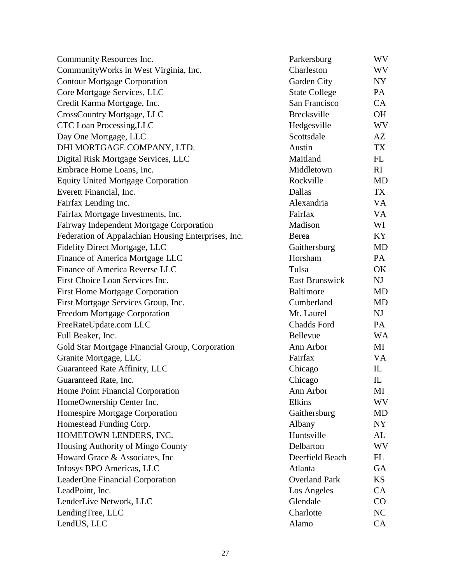| Community Resources Inc.                            | Parkersburg           | WV        |
|-----------------------------------------------------|-----------------------|-----------|
| Community Works in West Virginia, Inc.              | Charleston            | WV        |
| <b>Contour Mortgage Corporation</b>                 | Garden City           | NY        |
| Core Mortgage Services, LLC                         | <b>State College</b>  | PA        |
| Credit Karma Mortgage, Inc.                         | San Francisco         | CA        |
| <b>CrossCountry Mortgage, LLC</b>                   | <b>Brecksville</b>    | <b>OH</b> |
| <b>CTC</b> Loan Processing, LLC                     | Hedgesville           | WV        |
| Day One Mortgage, LLC                               | Scottsdale            | AZ        |
| DHI MORTGAGE COMPANY, LTD.                          | Austin                | TX        |
| Digital Risk Mortgage Services, LLC                 | Maitland              | FL        |
| Embrace Home Loans, Inc.                            | Middletown            | <b>RI</b> |
| <b>Equity United Mortgage Corporation</b>           | Rockville             | <b>MD</b> |
| Everett Financial, Inc.                             | Dallas                | TX        |
| Fairfax Lending Inc.                                | Alexandria            | VA        |
| Fairfax Mortgage Investments, Inc.                  | Fairfax               | VA        |
| Fairway Independent Mortgage Corporation            | Madison               | WI        |
| Federation of Appalachian Housing Enterprises, Inc. | Berea                 | KY        |
| Fidelity Direct Mortgage, LLC                       | Gaithersburg          | MD        |
| Finance of America Mortgage LLC                     | Horsham               | PA        |
| Finance of America Reverse LLC                      | Tulsa                 | OK        |
| First Choice Loan Services Inc.                     | <b>East Brunswick</b> | NJ        |
| <b>First Home Mortgage Corporation</b>              | <b>Baltimore</b>      | <b>MD</b> |
| First Mortgage Services Group, Inc.                 | Cumberland            | MD        |
| Freedom Mortgage Corporation                        | Mt. Laurel            | NJ        |
| FreeRateUpdate.com LLC                              | Chadds Ford           | PA        |
| Full Beaker, Inc.                                   | Bellevue              | <b>WA</b> |
| Gold Star Mortgage Financial Group, Corporation     | Ann Arbor             | MI        |
| Granite Mortgage, LLC                               | Fairfax               | VA        |
| Guaranteed Rate Affinity, LLC                       | Chicago               | IL        |
| Guaranteed Rate, Inc.                               | Chicago               | IL        |
| Home Point Financial Corporation                    | Ann Arbor             | МI        |
| HomeOwnership Center Inc.                           | Elkins                | WV        |
| Homespire Mortgage Corporation                      | Gaithersburg          | <b>MD</b> |
| Homestead Funding Corp.                             | Albany                | NY        |
| HOMETOWN LENDERS, INC.                              | Huntsville            | AL        |
| Housing Authority of Mingo County                   | Delbarton             | WV        |
| Howard Grace & Associates, Inc.                     | Deerfield Beach       | FL        |
| Infosys BPO Americas, LLC                           | Atlanta               | <b>GA</b> |
| LeaderOne Financial Corporation                     | <b>Overland Park</b>  | <b>KS</b> |
| LeadPoint, Inc.                                     | Los Angeles           | CA        |
| LenderLive Network, LLC                             | Glendale              | CO        |
| LendingTree, LLC                                    | Charlotte             | NC        |
| LendUS, LLC                                         | Alamo                 | CA        |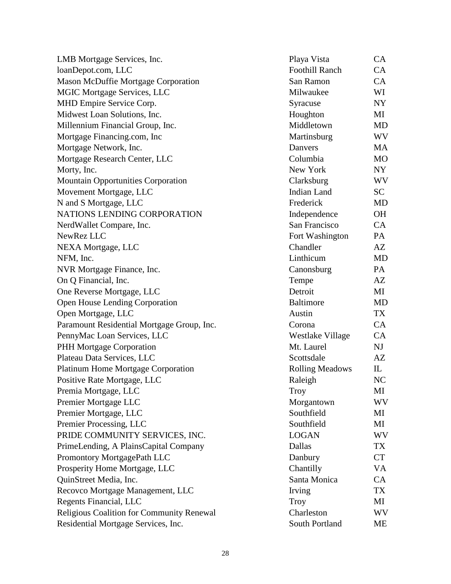| LMB Mortgage Services, Inc.                | Playa Vista            | CA        |
|--------------------------------------------|------------------------|-----------|
| loanDepot.com, LLC                         | <b>Foothill Ranch</b>  | CA        |
| <b>Mason McDuffie Mortgage Corporation</b> | San Ramon              | CA        |
| <b>MGIC Mortgage Services, LLC</b>         | Milwaukee              | WI        |
| MHD Empire Service Corp.                   | Syracuse               | NY        |
| Midwest Loan Solutions, Inc.               | Houghton               | MI        |
| Millennium Financial Group, Inc.           | Middletown             | <b>MD</b> |
| Mortgage Financing.com, Inc                | Martinsburg            | WV        |
| Mortgage Network, Inc.                     | Danvers                | MA        |
| Mortgage Research Center, LLC              | Columbia               | <b>MO</b> |
| Morty, Inc.                                | New York               | NY        |
| <b>Mountain Opportunities Corporation</b>  | Clarksburg             | WV        |
| Movement Mortgage, LLC                     | <b>Indian Land</b>     | SC        |
| N and S Mortgage, LLC                      | Frederick              | <b>MD</b> |
| NATIONS LENDING CORPORATION                | Independence           | <b>OH</b> |
| NerdWallet Compare, Inc.                   | San Francisco          | CA        |
| NewRez LLC                                 | Fort Washington        | PA        |
| NEXA Mortgage, LLC                         | Chandler               | AZ        |
| NFM, Inc.                                  | Linthicum              | MD        |
| NVR Mortgage Finance, Inc.                 | Canonsburg             | PA        |
| On Q Financial, Inc.                       | Tempe                  | AZ        |
| One Reverse Mortgage, LLC                  | Detroit                | MI        |
| Open House Lending Corporation             | <b>Baltimore</b>       | <b>MD</b> |
| Open Mortgage, LLC                         | Austin                 | TX        |
| Paramount Residential Mortgage Group, Inc. | Corona                 | CA        |
| PennyMac Loan Services, LLC                | Westlake Village       | CA        |
| PHH Mortgage Corporation                   | Mt. Laurel             | NJ        |
| Plateau Data Services, LLC                 | Scottsdale             | AZ        |
| <b>Platinum Home Mortgage Corporation</b>  | <b>Rolling Meadows</b> | IL        |
| Positive Rate Mortgage, LLC                | Raleigh                | NC        |
| Premia Mortgage, LLC                       | <b>Troy</b>            | MI        |
| Premier Mortgage LLC                       | Morgantown             | WV        |
| Premier Mortgage, LLC                      | Southfield             | MI        |
| Premier Processing, LLC                    | Southfield             | MI        |
| PRIDE COMMUNITY SERVICES, INC.             | <b>LOGAN</b>           | WV        |
| PrimeLending, A PlainsCapital Company      | Dallas                 | TX        |
| Promontory MortgagePath LLC                | Danbury                | <b>CT</b> |
| Prosperity Home Mortgage, LLC              | Chantilly              | VA        |
| QuinStreet Media, Inc.                     | Santa Monica           | <b>CA</b> |
| Recovco Mortgage Management, LLC           | Irving                 | <b>TX</b> |
| Regents Financial, LLC                     | <b>Troy</b>            | MI        |
| Religious Coalition for Community Renewal  | Charleston             | WV        |
| Residential Mortgage Services, Inc.        | South Portland         | ME        |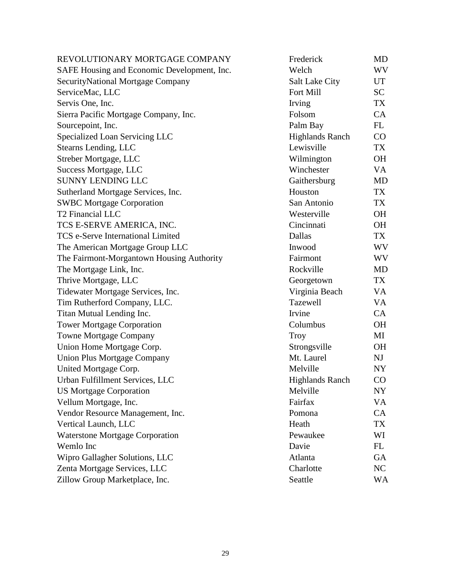| REVOLUTIONARY MORTGAGE COMPANY              | Frederick              | <b>MD</b> |
|---------------------------------------------|------------------------|-----------|
| SAFE Housing and Economic Development, Inc. | Welch                  | WV        |
| SecurityNational Mortgage Company           | <b>Salt Lake City</b>  | UT        |
| ServiceMac, LLC                             | Fort Mill              | <b>SC</b> |
| Servis One, Inc.                            | Irving                 | <b>TX</b> |
| Sierra Pacific Mortgage Company, Inc.       | Folsom                 | CA        |
| Sourcepoint, Inc.                           | Palm Bay               | FL        |
| Specialized Loan Servicing LLC              | <b>Highlands Ranch</b> | CO        |
| Stearns Lending, LLC                        | Lewisville             | TX        |
| Streber Mortgage, LLC                       | Wilmington             | <b>OH</b> |
| Success Mortgage, LLC                       | Winchester             | VA        |
| <b>SUNNY LENDING LLC</b>                    | Gaithersburg           | <b>MD</b> |
| Sutherland Mortgage Services, Inc.          | Houston                | TX        |
| <b>SWBC Mortgage Corporation</b>            | San Antonio            | TX        |
| <b>T2 Financial LLC</b>                     | Westerville            | <b>OH</b> |
| TCS E-SERVE AMERICA, INC.                   | Cincinnati             | <b>OH</b> |
| <b>TCS e-Serve International Limited</b>    | Dallas                 | TX        |
| The American Mortgage Group LLC             | Inwood                 | WV        |
| The Fairmont-Morgantown Housing Authority   | Fairmont               | WV        |
| The Mortgage Link, Inc.                     | Rockville              | <b>MD</b> |
| Thrive Mortgage, LLC                        | Georgetown             | TX        |
| Tidewater Mortgage Services, Inc.           | Virginia Beach         | VA        |
| Tim Rutherford Company, LLC.                | Tazewell               | VA        |
| Titan Mutual Lending Inc.                   | Irvine                 | CA        |
| <b>Tower Mortgage Corporation</b>           | Columbus               | <b>OH</b> |
| <b>Towne Mortgage Company</b>               | <b>Troy</b>            | MI        |
| Union Home Mortgage Corp.                   | Strongsville           | <b>OH</b> |
| <b>Union Plus Mortgage Company</b>          | Mt. Laurel             | NJ        |
| United Mortgage Corp.                       | Melville               | NY        |
| Urban Fulfillment Services, LLC             | <b>Highlands Ranch</b> | CO        |
| <b>US Mortgage Corporation</b>              | Melville               | NY        |
| Vellum Mortgage, Inc.                       | Fairfax                | VA        |
| Vendor Resource Management, Inc.            | Pomona                 | CA        |
| Vertical Launch, LLC                        | Heath                  | TX        |
| <b>Waterstone Mortgage Corporation</b>      | Pewaukee               | WI        |
| Wemlo Inc                                   | Davie                  | FL        |
| Wipro Gallagher Solutions, LLC              | Atlanta                | <b>GA</b> |
| Zenta Mortgage Services, LLC                | Charlotte              | NC        |
| Zillow Group Marketplace, Inc.              | Seattle                | WA        |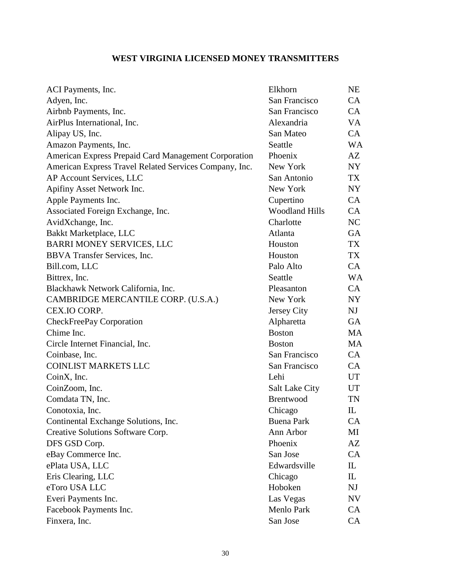# **WEST VIRGINIA LICENSED MONEY TRANSMITTERS**

| ACI Payments, Inc.                                     | Elkhorn               | NE                              |
|--------------------------------------------------------|-----------------------|---------------------------------|
| Adyen, Inc.                                            | San Francisco         | CA                              |
| Airbnb Payments, Inc.                                  | San Francisco         | CA                              |
| AirPlus International, Inc.                            | Alexandria            | VA                              |
| Alipay US, Inc.                                        | San Mateo             | CA                              |
| Amazon Payments, Inc.                                  | Seattle               | WA                              |
| American Express Prepaid Card Management Corporation   | Phoenix               | AZ                              |
| American Express Travel Related Services Company, Inc. | New York              | NY                              |
| AP Account Services, LLC                               | San Antonio           | TX                              |
| Apifiny Asset Network Inc.                             | New York              | NY                              |
| Apple Payments Inc.                                    | Cupertino             | CA                              |
| Associated Foreign Exchange, Inc.                      | <b>Woodland Hills</b> | CA                              |
| AvidXchange, Inc.                                      | Charlotte             | NC                              |
| Bakkt Marketplace, LLC                                 | Atlanta               | GA                              |
| BARRI MONEY SERVICES, LLC                              | Houston               | TX                              |
| BBVA Transfer Services, Inc.                           | Houston               | TX                              |
| Bill.com, LLC                                          | Palo Alto             | CA                              |
| Bittrex, Inc.                                          | Seattle               | <b>WA</b>                       |
| Blackhawk Network California, Inc.                     | Pleasanton            | CA                              |
| CAMBRIDGE MERCANTILE CORP. (U.S.A.)                    | New York              | NY.                             |
| CEX.IO CORP.                                           | Jersey City           | NJ                              |
| CheckFreePay Corporation                               | Alpharetta            | GA                              |
| Chime Inc.                                             | <b>Boston</b>         | MA                              |
| Circle Internet Financial, Inc.                        | <b>Boston</b>         | MA                              |
| Coinbase, Inc.                                         | San Francisco         | CA                              |
| <b>COINLIST MARKETS LLC</b>                            | San Francisco         | CA                              |
| CoinX, Inc.                                            | Lehi                  | UT                              |
| CoinZoom, Inc.                                         | <b>Salt Lake City</b> | UT                              |
| Comdata TN, Inc.                                       | Brentwood             | TN                              |
| Conotoxia, Inc.                                        | Chicago               | $\mathbf{I}$                    |
| Continental Exchange Solutions, Inc.                   | <b>Buena Park</b>     | CA                              |
| Creative Solutions Software Corp.                      | Ann Arbor             | ΜI                              |
| DFS GSD Corp.                                          | Phoenix               | AΖ                              |
| eBay Commerce Inc.                                     | San Jose              | CA                              |
| ePlata USA, LLC                                        | Edwardsville          | IL                              |
| Eris Clearing, LLC                                     | Chicago               | $\mathop{\mathrm{IL}}\nolimits$ |
| eToro USA LLC                                          | Hoboken               | NJ                              |
| Everi Payments Inc.                                    | Las Vegas             | NV                              |
| Facebook Payments Inc.                                 | Menlo Park            | CA                              |
| Finxera, Inc.                                          | San Jose              | CA                              |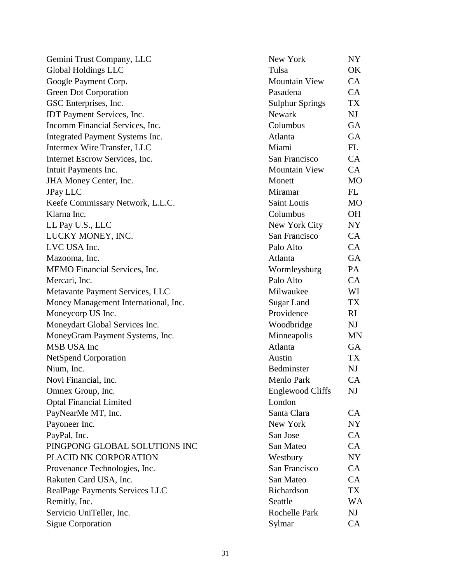Gemini Trust Company, LLC Global Holdings LLC Google Payment Corp. Green Dot Corporation GSC Enterprises, Inc. IDT Payment Services, Inc. Incomm Financial Services, Inc. Integrated Payment Systems Inc. Intermex Wire Transfer, LLC Internet Escrow Services, Inc. Intuit Payments Inc. JHA Money Center, Inc. JPay LLC Keefe Commissary Network, L.L.C. Klarna Inc. LL Pay U.S., LLC LUCKY MONEY, INC. LVC USA Inc. Mazooma, Inc. MEMO Financial Services, Inc. Mercari, Inc. Metavante Payment Services, LLC Money Management International, Inc. Moneycorp US Inc. Moneydart Global Services Inc. MoneyGram Payment Systems, Inc. MSB USA Inc NetSpend Corporation Nium, Inc. Novi Financial, Inc. Omnex Group, Inc. Optal Financial Limited PayNearMe MT, Inc. Payoneer Inc. PayPal, Inc. PINGPONG GLOBAL SOLUTIONS INC PLACID NK CORPORATION Provenance Technologies, Inc. Rakuten Card USA, Inc. RealPage Payments Services LLC Remitly, Inc. Servicio UniTeller, Inc. Sigue Corporation

| New York                | NY        |
|-------------------------|-----------|
| Tulsa                   | OK        |
| <b>Mountain View</b>    | CA        |
| Pasadena                | CA        |
| <b>Sulphur Springs</b>  | <b>TX</b> |
| Newark                  | NJ        |
| Columbus                | GA        |
| Atlanta                 | GA        |
| Miami                   | FL        |
| San Francisco           | CA        |
| <b>Mountain View</b>    | CA        |
| Monett                  | MO        |
| Miramar                 | <b>FL</b> |
| <b>Saint Louis</b>      | <b>MO</b> |
| Columbus                | OН        |
| New York City           | NY        |
| San Francisco           | CA        |
| Palo Alto               | CA        |
| Atlanta                 | GA        |
| Wormleysburg            | PA        |
| Palo Alto               | CA        |
| Milwaukee               | WI        |
| <b>Sugar Land</b>       | TX        |
| Providence              | RI        |
| Woodbridge              | NJ        |
| Minneapolis             | MΝ        |
| Atlanta                 | GA        |
| Austin                  | TX        |
| Bedminster              | NJ        |
| Menlo Park              | CA        |
| <b>Englewood Cliffs</b> | NJ        |
| London                  |           |
| Santa Clara             | CA        |
| New York                | NY        |
| San Jose                | CA        |
| San Mateo               | CA        |
| Westbury                | NY        |
| San Francisco           | CA        |
| San Mateo               | CA        |
| Richardson              | TX        |
| Seattle                 | WA        |
| Rochelle Park           | NJ        |
| Sylmar                  | CA        |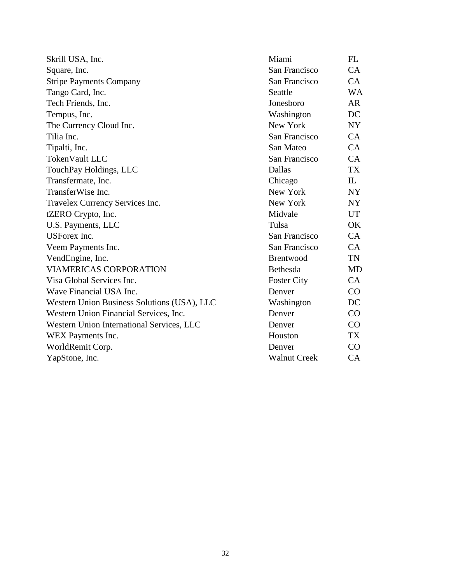| Skrill USA, Inc.                            | Miami               | FL                              |
|---------------------------------------------|---------------------|---------------------------------|
| Square, Inc.                                | San Francisco       | CA                              |
| <b>Stripe Payments Company</b>              | San Francisco       | CA                              |
| Tango Card, Inc.                            | Seattle             | <b>WA</b>                       |
| Tech Friends, Inc.                          | Jonesboro           | AR                              |
| Tempus, Inc.                                | Washington          | DC                              |
| The Currency Cloud Inc.                     | New York            | NY                              |
| Tilia Inc.                                  | San Francisco       | CA                              |
| Tipalti, Inc.                               | San Mateo           | CA                              |
| TokenVault LLC                              | San Francisco       | CA                              |
| TouchPay Holdings, LLC                      | Dallas              | TX                              |
| Transfermate, Inc.                          | Chicago             | $\mathop{\mathrm{IL}}\nolimits$ |
| TransferWise Inc.                           | New York            | NY.                             |
| Travelex Currency Services Inc.             | New York            | NY.                             |
| tZERO Crypto, Inc.                          | Midvale             | UT                              |
| U.S. Payments, LLC                          | Tulsa               | OK                              |
| <b>USForex</b> Inc.                         | San Francisco       | CA                              |
| Veem Payments Inc.                          | San Francisco       | <b>CA</b>                       |
| VendEngine, Inc.                            | Brentwood           | TN                              |
| <b>VIAMERICAS CORPORATION</b>               | Bethesda            | <b>MD</b>                       |
| Visa Global Services Inc.                   | <b>Foster City</b>  | <b>CA</b>                       |
| Wave Financial USA Inc.                     | Denver              | CO                              |
| Western Union Business Solutions (USA), LLC | Washington          | DC                              |
| Western Union Financial Services, Inc.      | Denver              | CO                              |
| Western Union International Services, LLC   | Denver              | $\rm CO$                        |
| WEX Payments Inc.                           | Houston             | TX                              |
| WorldRemit Corp.                            | Denver              | CO                              |
| YapStone, Inc.                              | <b>Walnut Creek</b> | CA                              |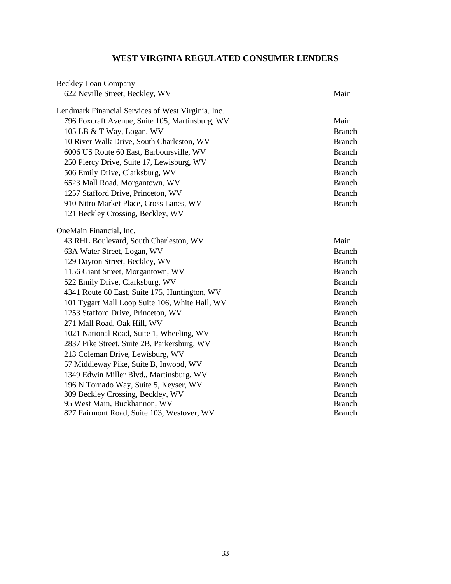# **WEST VIRGINIA REGULATED CONSUMER LENDERS**

| <b>Beckley Loan Company</b>                        |               |
|----------------------------------------------------|---------------|
| 622 Neville Street, Beckley, WV                    | Main          |
| Lendmark Financial Services of West Virginia, Inc. |               |
| 796 Foxcraft Avenue, Suite 105, Martinsburg, WV    | Main          |
| 105 LB & T Way, Logan, WV                          | <b>Branch</b> |
| 10 River Walk Drive, South Charleston, WV          | <b>Branch</b> |
| 6006 US Route 60 East, Barboursville, WV           | <b>Branch</b> |
| 250 Piercy Drive, Suite 17, Lewisburg, WV          | <b>Branch</b> |
| 506 Emily Drive, Clarksburg, WV                    | <b>Branch</b> |
| 6523 Mall Road, Morgantown, WV                     | <b>Branch</b> |
| 1257 Stafford Drive, Princeton, WV                 | <b>Branch</b> |
| 910 Nitro Market Place, Cross Lanes, WV            | <b>Branch</b> |
| 121 Beckley Crossing, Beckley, WV                  |               |
| OneMain Financial, Inc.                            |               |
| 43 RHL Boulevard, South Charleston, WV             | Main          |
| 63A Water Street, Logan, WV                        | <b>Branch</b> |
| 129 Dayton Street, Beckley, WV                     | <b>Branch</b> |
| 1156 Giant Street, Morgantown, WV                  | <b>Branch</b> |
| 522 Emily Drive, Clarksburg, WV                    | <b>Branch</b> |
| 4341 Route 60 East, Suite 175, Huntington, WV      | <b>Branch</b> |
| 101 Tygart Mall Loop Suite 106, White Hall, WV     | <b>Branch</b> |
| 1253 Stafford Drive, Princeton, WV                 | <b>Branch</b> |
| 271 Mall Road, Oak Hill, WV                        | <b>Branch</b> |
| 1021 National Road, Suite 1, Wheeling, WV          | <b>Branch</b> |
| 2837 Pike Street, Suite 2B, Parkersburg, WV        | <b>Branch</b> |
| 213 Coleman Drive, Lewisburg, WV                   | <b>Branch</b> |
| 57 Middleway Pike, Suite B, Inwood, WV             | <b>Branch</b> |
| 1349 Edwin Miller Blvd., Martinsburg, WV           | <b>Branch</b> |
| 196 N Tornado Way, Suite 5, Keyser, WV             | <b>Branch</b> |
| 309 Beckley Crossing, Beckley, WV                  | <b>Branch</b> |
| 95 West Main, Buckhannon, WV                       | <b>Branch</b> |
| 827 Fairmont Road, Suite 103, Westover, WV         | <b>Branch</b> |